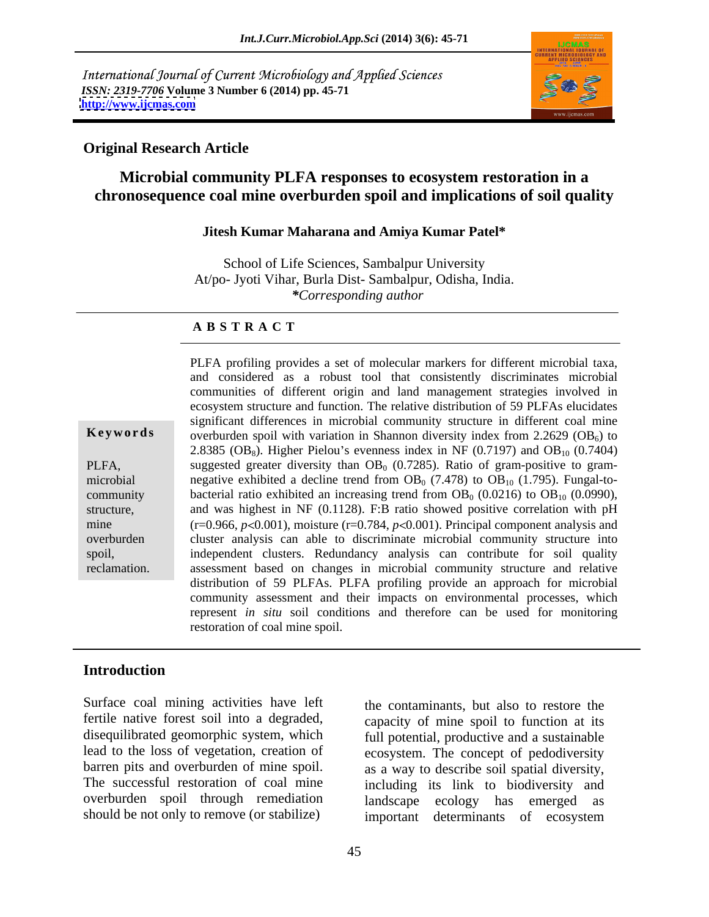International Journal of Current Microbiology and Applied Sciences *ISSN: 2319-7706* **Volume 3 Number 6 (2014) pp. 45-71 <http://www.ijcmas.com>**



## **Original Research Article**

# **Microbial community PLFA responses to ecosystem restoration in a chronosequence coal mine overburden spoil and implications of soil quality**

### **Jitesh Kumar Maharana and Amiya Kumar Patel\***

School of Life Sciences, Sambalpur University At/po- Jyoti Vihar, Burla Dist- Sambalpur, Odisha, India. *\*Corresponding author* 

### **A B S T R A C T**

**Keywords** overburden spoil with variation in Shannon diversity index from 2.2629 (OB<sub>6</sub>) to PLFA, suggested greater diversity than  $OB_0$  (0.7285). Ratio of gram-positive to grammicrobial negative exhibited a decline trend from  $OB_0$  (7.478) to  $OB_{10}$  (1.795). Fungal-tocommunity bacterial ratio exhibited an increasing trend from  $OB_0$  (0.0216) to  $OB_{10}$  (0.0990), structure, and was highest in NF (0.1128). F:B ratio showed positive correlation with pH mine  $(r=0.966, p<0.001)$ , moisture  $(r=0.784, p<0.001)$ . Principal component analysis and overburden cluster analysis can able to discriminate microbial community structure into spoil, independent clusters. Redundancy analysis can contribute for soil quality reclamation. assessment based on changes in microbial community structure and relative PLFA profiling provides a set of molecular markers for different microbial taxa, and considered as a robust tool that consistently discriminates microbial communities of different origin and land management strategies involved in ecosystem structure and function. The relative distribution of 59 PLFAs elucidates significant differences in microbial community structure in different coal mine 2.8385 (OB<sub>8</sub>). Higher Pielou's evenness index in NF (0.7197) and OB<sub>10</sub> (0.7404) distribution of 59 PLFAs. PLFA profiling provide an approach for microbial community assessment and their impacts on environmental processes, which represent *in situ* soil conditions and therefore can be used for monitoring restoration of coal mine spoil.

# **Introduction**

Surface coal mining activities have left fertile native forest soil into a degraded, capacity of mine spoil to function at its disequilibrated geomorphic system, which lead to the loss of vegetation, creation of barren pits and overburden of mine spoil. as a way to describe soil spatial diversity, The successful restoration of coal mine including its link to biodiversity and overburden spoil through remediation

should be not only to remove (or stabilize) important determinants of ecosystem the contaminants, but also to restore the full potential, productive and a sustainable ecosystem. The concept of pedodiversity ecology has emerged as important determinants of ecosystem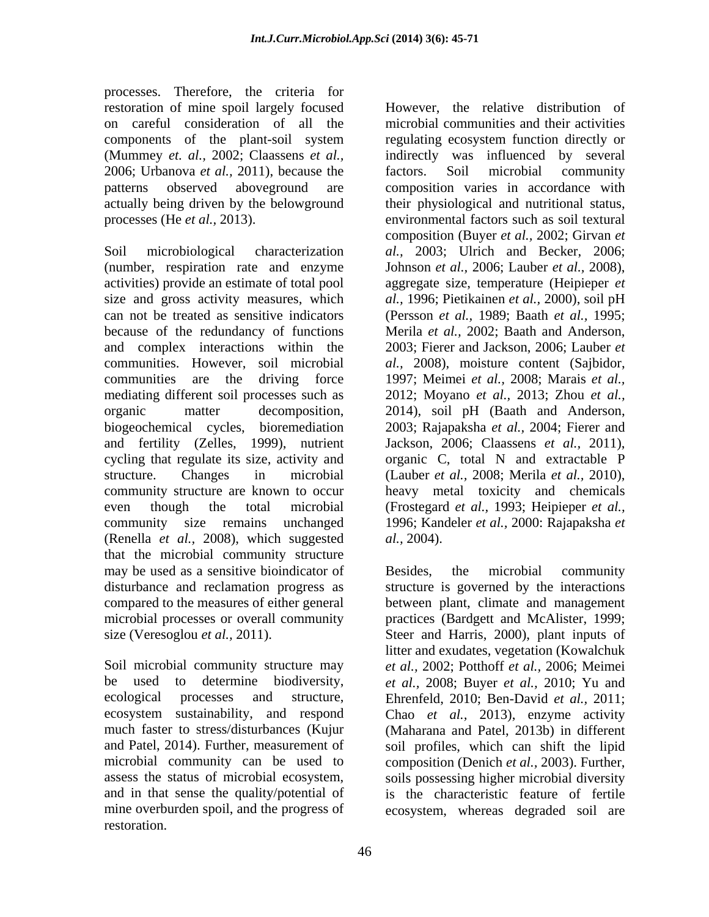processes. Therefore, the criteria for restoration of mine spoil largely focused 2006; Urbanova *et al.,* 2011), because the

and complex interactions within the communities. However, soil microbial al., 2008), moisture content (Sajbidor, communities are the driving force 1997; Meimei et al., 2008; Marais et al., and fertility (Zelles, 1999), nutrient (Renella *et al.,* 2008), which suggested that the microbial community structure may be used as a sensitive bioindicator of Besides, the microbial community disturbance and reclamation progress as structure is governed by the interactions compared to the measures of either general between plant, climate and management microbial processes or overall community practices (Bardgett and McAlister, 1999; size (Veresoglou *et al.,* 2011). Steer and Harris, 2000), plant inputs of

assess the status of microbial ecosystem, mine overburden spoil, and the progress of ecosystem, whereas degraded soil arerestoration.

on careful consideration of all the microbial communities and their activities components of the plant-soil system regulating ecosystem function directly or (Mummey *et. al.,* 2002; Claassens *et al.,* indirectly was influenced by several patterns observed aboveground are composition varies in accordance with actually being driven by the belowground their physiological and nutritional status, processes (He *et al.,* 2013). environmental factors such as soil textural Soil microbiological characterization *al.,* 2003; Ulrich and Becker, 2006; (number, respiration rate and enzyme Johnson *et al.,* 2006; Lauber *et al.,* 2008), activities) provide an estimate of total pool aggregate size, temperature (Heipieper *et*  size and gross activity measures, which *al.,* 1996; Pietikainen *et al.,* 2000), soil pH can not be treated as sensitive indicators (Persson *et al.,* 1989; Baath *et al.,* 1995; because of the redundancy of functions Merila *et al.,* 2002; Baath and Anderson, mediating different soil processes such as 2012; Moyano *et al.,* 2013; Zhou *et al.,* organic matter decomposition, 2014), soil pH (Baath and Anderson, biogeochemical cycles, bioremediation 2003; Rajapaksha *et al.,* 2004; Fierer and cycling that regulate its size, activity and organic C, total N and extractable P structure. Changes in microbial (Lauber *et al.,* 2008; Merila *et al.,* 2010), community structure are known to occur heavy metal toxicity and chemicals even though the total microbial (Frostegard *et al.,* 1993; Heipieper *et al.,* community size remains unchanged 1996; Kandeler *et al.,* 2000: Rajapaksha *et*  However, the relative distribution of factors. Soil microbial community composition (Buyer *et al.,* 2002; Girvan *et*  2003; Fierer and Jackson, 2006; Lauber *et al.,* 2008), moisture content (Sajbidor,1997; Meimei *et al.,* 2008; Marais *et al.,* Jackson, 2006; Claassens *et al.,* 2011), *al.,* 2004).

Soil microbial community structure may *et al.,* 2002; Potthoff *et al.,* 2006; Meimei be used to determine biodiversity, *et al.,* 2008; Buyer *et al.,* 2010; Yu and ecological processes and structure, Ehrenfeld, 2010; Ben-David *et al.,* 2011; ecosystem sustainability, and respond Chao *et al.,* 2013), enzyme activity much faster to stress/disturbances (Kujur (Maharana and Patel, 2013b) in different and Patel, 2014). Further, measurement of soil profiles, which can shift the lipid microbial community can be used to composition (Denich *et al.,* 2003). Further, and in that sense the quality/potential of is the characteristic feature of fertile Besides, the microbial community litter and exudates, vegetation (Kowalchuk soils possessing higher microbial diversity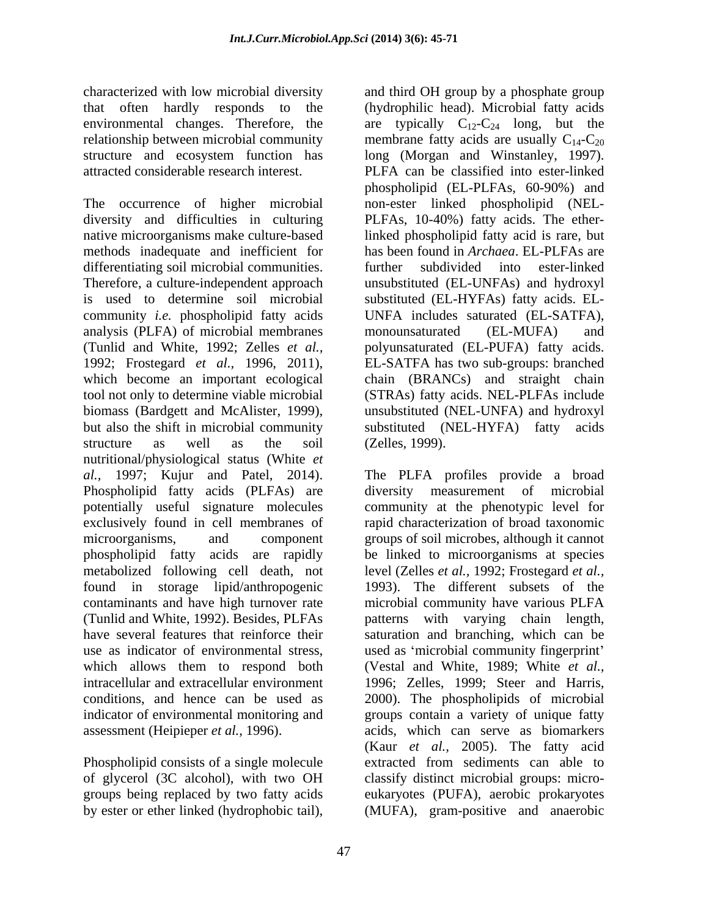that often hardly responds to the environmental changes. Therefore, the

The occurrence of higher microbial non-ester linked phospholipid (NEL diversity and difficulties in culturing PLFAs, 10-40%) fatty acids. The ethernative microorganisms make culture-based linked phospholipid fatty acid is rare, but methods inadequate and inefficient for has been found in *Archaea*. EL-PLFAs are differentiating soil microbial communities. further Therefore, a culture-independent approach unsubstituted (EL-UNFAs) and hydroxyl is used to determine soil microbial substituted (EL-HYFAs) fatty acids. EL community *i.e.* phospholipid fatty acids UNFA includes saturated (EL-SATFA), analysis (PLFA) of microbial membranes monounsaturated (EL-MUFA) and (Tunlid and White, 1992; Zelles *et al.,* polyunsaturated (EL-PUFA) fatty acids. 1992; Frostegard *et al.,* 1996, 2011), EL-SATFA has two sub-groups: branched which become an important ecological chain (BRANCs) and straight chain tool not only to determine viable microbial (STRAs) fatty acids. NEL-PLFAs include biomass (Bardgett and McAlister, 1999), unsubstituted (NEL-UNFA) and hydroxyl but also the shift in microbial community substituted (NEL-HYFA) fatty acids structure as well as the soil (Zelles, 1999). nutritional/physiological status (White *et al.,* 1997; Kujur and Patel, 2014). The PLFA profiles provide a broad Phospholipid fatty acids (PLFAs) are diversity measurement of microbial potentially useful signature molecules exclusively found in cell membranes of rapid characterization of broad taxonomic microorganisms, and component groups of soil microbes, although it cannot phospholipid fatty acids are rapidly be linked to microorganisms at species metabolized following cell death, not found in storage lipid/anthropogenic 1993). The different subsets of the contaminants and have high turnover rate (Tunlid and White, 1992). Besides, PLFAs patterns with varying chain length, have several features that reinforce their saturation and branching, which can be use as indicator of environmental stress, used as 'microbial community fingerprint' which allows them to respond both (Vestal and White, 1989; White *et al.,* intracellular and extracellular environment 1996; Zelles,1999; Steer and Harris, conditions, and hence can be used as 2000). The phospholipids of microbial indicator of environmental monitoring and groups contain a variety of unique fatty assessment (Heipieper *et al.,* 1996). acids, which can serve as biomarkers

Phospholipid consists of a single molecule by ester or ether linked (hydrophobic tail), (MUFA), gram-positive and anaerobic

characterized with low microbial diversity and third OH group by a phosphate group relationship between microbial community membrane fatty acids are usually  $C_{14}$ - $C_{20}$ structure and ecosystem function has long (Morgan and Winstanley, 1997). attracted considerable research interest. PLFA can be classified into ester-linked (hydrophilic head). Microbial fatty acids are typically  $C_{12}-C_{24}$  long, but the phospholipid (EL-PLFAs, 60-90%) and subdivided into ester-linked monounsaturated (EL-MUFA) and (Zelles, 1999).

of glycerol (3C alcohol), with two OH classify distinct microbial groups: micro groups being replaced by two fatty acids eukaryotes (PUFA), aerobic prokaryotes diversity measurement of community at the phenotypic level for level (Zelles *et al.,* 1992; Frostegard *et al.,* microbial community have various PLFA (Kaur *et al.,* 2005). The fatty acid extracted from sediments can able to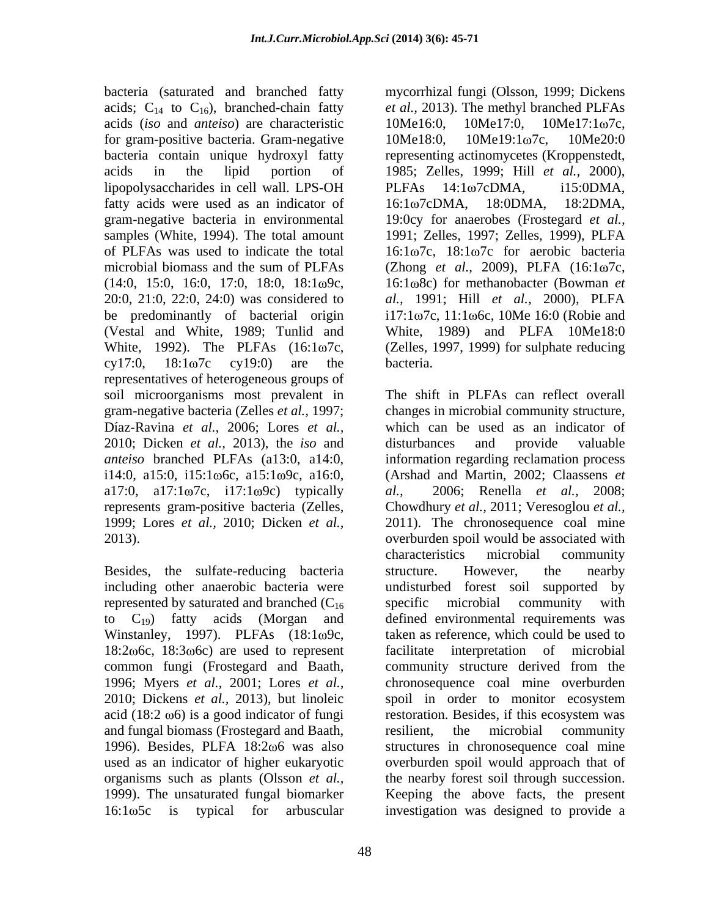bacteria (saturated and branched fatty acids;  $C_{14}$  to  $C_{16}$ ), branched-chain fatty *et al.*, 2013). The methyl branched PLFAs acids (*iso* and *anteiso*) are characteristic for gram-positive bacteria. Gram-negative 10Me18:0, 10Me19:1ω7c, 10Me20:0 bacteria contain unique hydroxyl fatty representing actinomycetes (Kroppenstedt, acids in the lipid portion of 1985; Zelles, 1999; Hill *et al.,* 2000), lipopolysaccharides in cell wall. LPS-OH PLFAs 14:1 $\omega$ 7cDMA, i15:0DMA, fatty acids were used as an indicator of 16:1 $\omega$ 7cDMA, 18:0DMA, 18:2DMA, gram-negative bacteria in environmental samples (White, 1994). The total amount 1991; Zelles, 1997; Zelles, 1999), PLFA of PLFAs was used to indicate the total  $16:1\omega$ 7c,  $18:1\omega$ 7c for aerobic bacteria microbial biomass and the sum of PLFAs (Zhong *et al., 2009*), PLFA (16:1 $\omega$ 7c, (14:0, 15:0, 16:0, 17:0, 18:0, 18:1 9c, 16:1 8c) for methanobacter (Bowman *et*  20:0, 21:0, 22:0, 24:0) was considered to *al.,* 1991; Hill *et al.,* 2000), PLFA be predominantly of bacterial origin (Vestal and White, 1989; Tunlid and White, 1989) and PLFA 10Me18:0 White, 1992). The PLFAs  $(16:1\omega7c)$ , (Zelles, 1997, 1999) for sulphate reducing  $cy17:0$ ,  $18:1\omega7c$   $cy19:0$ ) are the bacteria. representatives of heterogeneous groups of soil microorganisms most prevalent in gram-negative bacteria (Zelles *et al.,* 1997; changes in microbial community structure, Díaz-Ravina *et al.,* 2006; Lores *et al.,* which can be used as an indicator of 2010; Dicken *et al.,* 2013), the *iso* and *anteiso* branched PLFAs (a13:0, a14:0, information regarding reclamation process i14:0, a15:0, i15:1ω6c, a15:1ω9c, a16:0, (Arshad and Martin, 2002; Claassens *et* a17:0, a17:1 $\omega$ 7c, i17:1 $\omega$ 9c) typically *al.*, represents gram-positive bacteria (Zelles, Chowdhury *et al.,* 2011; Veresoglou *et al.,* 1999; Lores *et al.,* 2010; Dicken *et al.,* 2011). The chronosequence coal mine

Besides, the sulfate-reducing bacteria structure. However, the nearby including other anaerobic bacteria were represented by saturated and branched  $(C_{16}$  specific microbial community with Winstanley, 1997). PLFAs  $(18:1\omega$ 9c,  $18:2\omega$ <sub>6</sub>c,  $18:3\omega$ <sub>6</sub><sup>c</sup>) are used to represent facilitate 1996; Myers *et al.,* 2001; Lores *et al.,*  $\alpha$  acid (18:2  $\omega$ 6) is a good indicator of fungi restoration. Besides, if this ecosystem was and fungal biomass (Frostegard and Baath,

48

mycorrhizal fungi (Olsson, 1999; Dickens 10Me16:0, 10Me17:0, 10Me17:1ω7c, 10Me18:0, 10Me19:1ω7c, 10Me20:0  $PLFAs$  14:1 $\omega$ 7cDMA, i15:0DMA, 16:1ω7cDMA, 18:0DMA, 18:2DMA, 19:0cy for anaerobes (Frostegard *et al.,*  $i17:1\omega7c$ ,  $11:1\omega6c$ ,  $10Me$  16:0 (Robie and bacteria.

2013). overburden spoil would be associated with to  $C_{19}$ ) fatty acids (Morgan and defined environmental requirements was common fungi (Frostegard and Baath, community structure derived from the 2010; Dickens *et al.*, 2013), but linoleic spoil in order to monitor ecosystem 1996). Besides, PLFA 18:2 $\omega$ 6 was also structures in chronosequence coal mine used as an indicator of higher eukaryotic overburden spoil would approach that of organisms such as plants (Olsson *et al.,* the nearby forest soil through succession. 1999). The unsaturated fungal biomarker Keeping the above facts, the present 16:1 5c is typical for arbuscular investigation was designed to provide aThe shift in PLFAs can reflect overall disturbances and provide valuable *al.,* 2006; Renella *et al.,* 2008; characteristics microbial community structure. However, the nearby undisturbed forest soil supported by specific microbial community with taken as reference, which could be used to interpretation of microbial chronosequence coal mine overburden restoration. Besides, if this ecosystem was resilient, the microbial community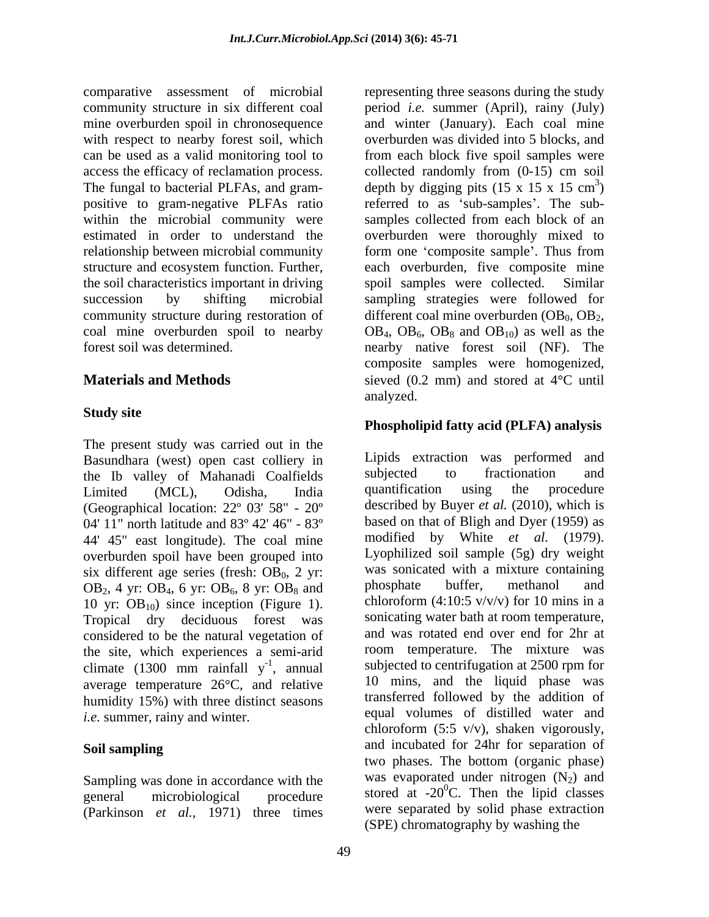comparative assessment of microbial representing three seasons during the study community structure in six different coal period *i.e.* summer (April), rainy (July) mine overburden spoil in chronosequence and winter (January). Each coal mine with respect to nearby forest soil, which overburden was divided into 5 blocks, and can be used as a valid monitoring tool to access the efficacy of reclamation process. collected randomly from (0-15) cm soil The fungal to bacterial PLFAs, and gram-<br>depth by digging pits  $(15 \times 15 \times 15 \text{ cm}^3)$ positive to gram-negative PLFAs ratio areferred to as 'sub-samples'. The subwithin the microbial community were samples collected from each block of an estimated in order to understand the overburden were thoroughly mixed to relationship between microbial community form one 'composite sample'. Thus from structure and ecosystem function. Further, the soil characteristics important in driving spoil samples were collected. Similar succession by shifting microbial sampling strategies were followed for community structure during restoration of different coal mine overburden  $(OB_0, OB_2,$ coal mine overburden spoil to nearby  $OB_4$ ,  $OB_6$ ,  $OB_8$  and  $OB_{10}$  as well as the

# **Study site**

The present study was carried out in the Basundhara (west) open cast colliery in Lipids extraction was performed and the Ib valley of Mahanadi Coalfields subjected to fractionation and the Ib valley of Mahanadi Coalfields subjected to fractionation and<br>Limited (MCL) Odisha India quantification using the procedure (Geographical location: 22º 03' 58" - 20º 04' 11" north latitude and 83º 42' 46" - 83º 44' 45" east longitude). The coal mine overburden spoil have been grouped into six different age series (fresh:  $OB_0$ , 2 yr:<br>  $OB_0$ , 2 yr:<br>  $OB_0$ , 2 yr:<br>  $OB_0$ , 2 yr:<br>  $OB_0$ , 2 yr:<br>  $OB_0$ , 2 yr:<br>  $OB_0$ , 2 yr:<br>  $OB_0$ , 2 yr:<br>  $OB_0$ , 2 yr:<br>  $OB_0$ , and<br>  $OB_0$ <br>  $OB_1$ <br>  $OB_2$ <br>  $A$  yr:<br>  $OB_4$  6 yr:<br>  $OB_5$  8  $OB_2$ , 4 yr:  $OB_4$ , 6 yr:  $OB_6$ , 8 yr:  $OB_8$  and 10 yr:  $OB_{10}$ ) since inception (Figure 1). Tropical dry deciduous forest was considered to be the natural vegetation of the site, which experiences a semi-arid climate (1300 mm rainfall  $y^{-1}$ , annual average temperature  $26^{\circ}$ C, and relative humidity 15%) with three distinct seasons

Sampling was done in accordance with the (Parkinson *et al.,* 1971) three times

forest soil was determined. nearby native forest soil (NF). The **Materials and Methods** sieved (0.2 mm) and stored at 4<sup>o</sup>C until from each block five spoil samples were depth by digging pits  $(15 \times 15 \times 15 \text{ cm}^3)$  $3<sub>1</sub>$  $)$ samples collected from each block of an each overburden, five composite mine spoil samples were collected. different coal mine overburden ( $OB_0$ ,  $OB_2$ ,  $OB_4$ ,  $OB_6$ ,  $OB_8$  and  $OB_{10}$ ) as well as the composite samples were homogenized, analyzed.

## **Phospholipid fatty acid (PLFA) analysis**

Limited (MCL), Odisha, India -1 , annual subjected to centrifugation at 2500 rpm for *i.e.* summer, rainy and winter. equal volumes of distilled water and **Soil sampling**  and incubated for 24hr for separation of  $\frac{1}{20}$  microbiological procedure stored at -20<sup>0</sup>C. Then the lipid classes Lipids extraction was performed and subjected to fractionation and quantification using the procedure described by Buyer *et al.* (2010), which is based on that of Bligh and Dyer (1959) as modified by White *et al.* (1979). Lyophilized soil sample (5g) dry weight was sonicated with a mixture containing phosphate buffer, methanol and chloroform  $(4:10:5 \frac{v}{v})$  for 10 mins in a sonicating water bath at room temperature, and was rotated end over end for 2hr at room temperature. The mixture was 10 mins, and the liquid phase was transferred followed by the addition of chloroform (5:5  $v/v$ ), shaken vigorously, two phases. The bottom (organic phase) was evaporated under nitrogen  $(N_2)$  and were separated by solid phase extraction (SPE) chromatography by washing the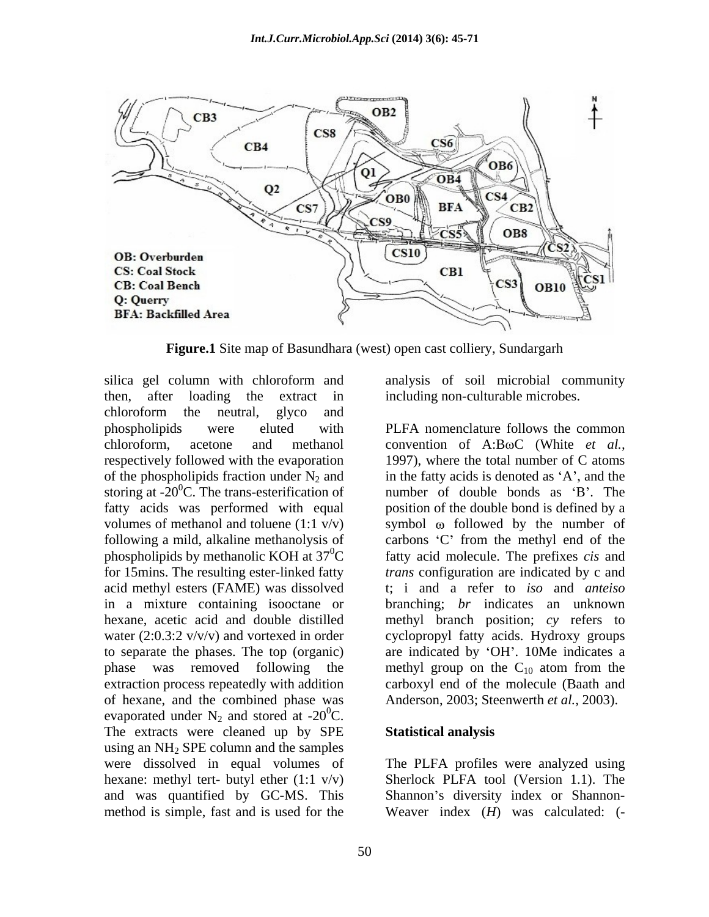

**Figure.1** Site map of Basundhara (west) open cast colliery, Sundargarh

silica gel column with chloroform and analysis of soil microbial community then, after loading the extract in including non-culturable microbes. chloroform the neutral, glyco and phospholipids were eluted with PLFA nomenclature follows the common chloroform, acetone and methanol convention of A:BoC (White *et al.*, respectively followed with the evaporation 1997), where the total number of C atoms of the phospholipids fraction under  $N_2$  and storing at  $-20^0$ C. The trans-esterification of fatty acids was performed with equal position of the double bond is defined by a volumes of methanol and toluene  $(1:1 \text{ v/v})$  symbol  $\omega$  followed by the number of following a mild, alkaline methanolysis of carbons C from the methyl end of the phospholipids by methanolic KOH at  $37^0C$  fatty acid molecule. The prefixes *cis* and for 15mins. The resulting ester-linked fatty *trans* configuration are indicated by c and acid methyl esters (FAME) was dissolved in a mixture containing isooctane or branching; *br* indicates an unknown hexane, acetic acid and double distilled methyl branch position; *cy* refers to water (2:0.3:2 v/v/v) and vortexed in order cyclopropyl fatty acids. Hydroxy groups to separate the phases. The top (organic) are indicated by 'OH'. 10Me indicates a phase was removed following the methyl group on the  $C_{10}$  atom from the extraction process repeatedly with addition carboxyl end of the molecule (Baath and of hexane, and the combined phase was evaporated under  $N_2$  and stored at -20<sup>0</sup>C. The extracts were cleaned up by SPE Statistical analysis using an  $NH<sub>2</sub>$  SPE column and the samples were dissolved in equal volumes of The PLFA profiles were analyzed using hexane: methyl tert- butyl ether (1:1 v/v) and was quantified by GC-MS. This Shannon's diversity index or Shannon-

convention of A:B $\omega$ C (White *et al.,* 1997), where the total number of C atoms in the fatty acids is denoted as  $A$ , and the number of double bonds as 'B'. The t; i and a refer to *iso* and *anteiso* methyl group on the  $C_{10}$  atom from the Anderson, 2003; Steenwerth *et al.,* 2003).

### **Statistical analysis**

method is simple, fast and is used for the Weaver index (*H*) was calculated: (-Sherlock PLFA tool (Version 1.1). The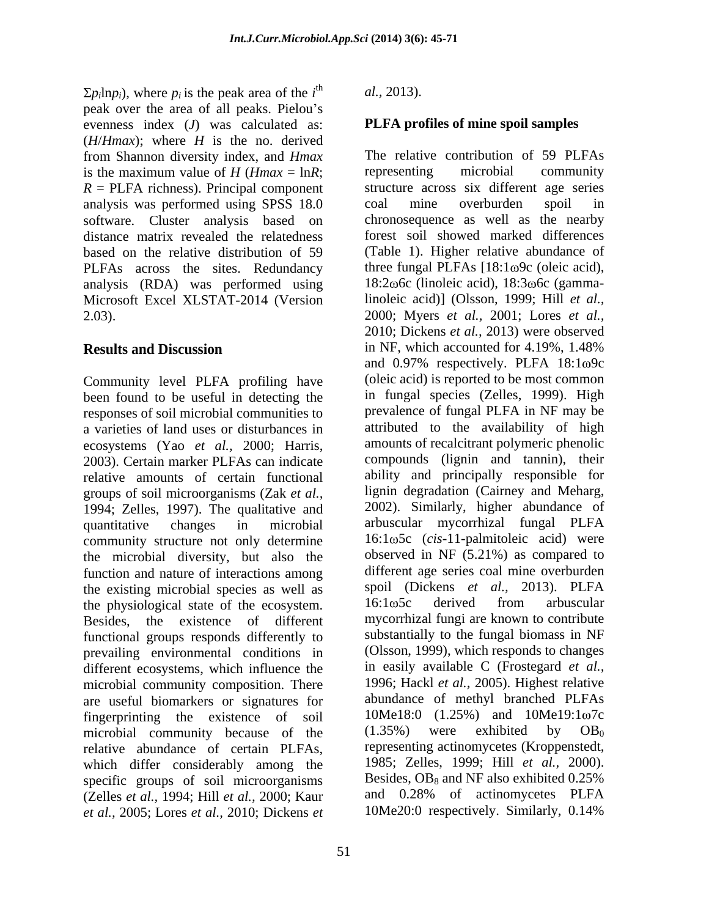$p_i$ ln $p_i$ ), where  $p_i$  is the peak area of the  $i^{\text{th}}$  al., 2013). is the peak area of the  $i<sup>th</sup>$  al., 2013). peak over the area of all peaks. Pielou's evenness index (*J*) was calculated as: (*H*/*Hmax*); where *H* is the no. derived from Shannon diversity index, and *Hmax* The relative contribution of 59 PLFAs is the maximum value of  $H$  ( $Hmax = lnR$ ; representing microbial community  $R = PLFA$  richness). Principal component analysis was performed using SPSS 18.0 coal mine overburden spoil in software. Cluster analysis based on distance matrix revealed the relatedness based on the relative distribution of 59 PLFAs across the sites. Redundancy three fungal PLFAs  $[18:1\omega9c$  (oleic acid), analysis (RDA) was performed using Microsoft Excel XLSTAT-2014 (Version 2.03). 2000; Myers *et al.,* 2001; Lores *et al.,*

Community level PLFA profiling have been found to be useful in detecting the responses of soil microbial communities to a varieties of land uses or disturbances in ecosystems (Yao *et al.,* 2000; Harris, 2003). Certain marker PLFAs can indicate relative amounts of certain functional groups of soil microorganisms (Zak *et al.,* 1994; Zelles, 1997). The qualitative and quantitative changes in microbial arbuscular mycorrhizal fungal PLFA community structure not only determine the microbial diversity, but also the function and nature of interactions among<br>the existing microbial species as well as<br>spoil (Dickens *et al.*, 2013). PLFA the existing microbial species as well as  $\qquad$  spoil (Dickens *et al.*, 2013). PLFA the physiological state of the ecosystem  $\qquad$  16:1 $\omega$ 5c derived from arbuscular the physiological state of the ecosystem. Besides, the existence of different functional groups responds differently to prevailing environmental conditions in different ecosystems, which influence the microbial community composition. There are useful biomarkers or signatures for fingerprinting the existence of soil  $10$ Me18:0 (1.25%) and  $10$ Me19:1 $\omega$ 7c<br>microbial community because of the (1.35%) were exhibited by OB<sub>0</sub> microbial community because of the relative abundance of certain PLFAs, which differ considerably among the specific groups of soil microorganisms<br>
(Zelles *et al* 1994; Hill *et al* 2000; Kaur and 0.28% of actinomycetes PLFA (Zelles *et al.,* 1994; Hill *et al.,* 2000; Kaur *et al.,* 2005; Lores *et al.,* 2010; Dickens *et* 

 $d = a^2$  2013) *al.,* 2013).

# **PLFA profiles of mine spoil samples**

**Results and Discussion** in NF, which accounted for 4.19%, 1.48% representing microbial community structure across six different age series coal mine overburden spoil in chronosequence as well as the nearby forest soil showed marked differences (Table 1). Higher relative abundance of 18:2 $\omega$ 6c (linoleic acid), 18:3 $\omega$ 6c (gammalinoleic acid)] (Olsson, 1999; Hill *et al.,* 2010; Dickens *et al.,* 2013) were observed in NF, which accounted for 4.19%, 1.48% and  $0.97\%$  respectively. PLFA  $18:1\omega$ 9c (oleic acid) is reported to be most common in fungal species (Zelles, 1999). High prevalence of fungal PLFA in NF may be attributed to the availability of high amounts of recalcitrant polymeric phenolic compounds (lignin and tannin), their ability and principally responsible for lignin degradation (Cairney and Meharg, 2002). Similarly, higher abundance of 16:1 5c (*cis-*11-palmitoleic acid) were observed in NF (5.21%) as compared to different age series coal mine overburden spoil (Dickens *et al.,* 2013). PLFA 16:1 $\omega$ 5c derived from arbuscular mycorrhizal fungi are known to contribute substantially to the fungal biomass in NF (Olsson, 1999), which responds to changes in easily available C (Frostegard *et al.,* 1996; Hackl *et al.,* 2005). Highest relative abundance of methyl branched PLFAs 10Me18:0 (1.25%) and 10Me19:1 $\omega$ 7c  $(1.35\%)$  were exhibited by  $OB_0$ representing actinomycetes (Kroppenstedt, 1985; Zelles, 1999; Hill *et al.,* 2000). Besides,  $OB_8$  and NF also exhibited 0.25% and 0.28% of actinomycetes PLFA 10Me20:0 respectively. Similarly, 0.14%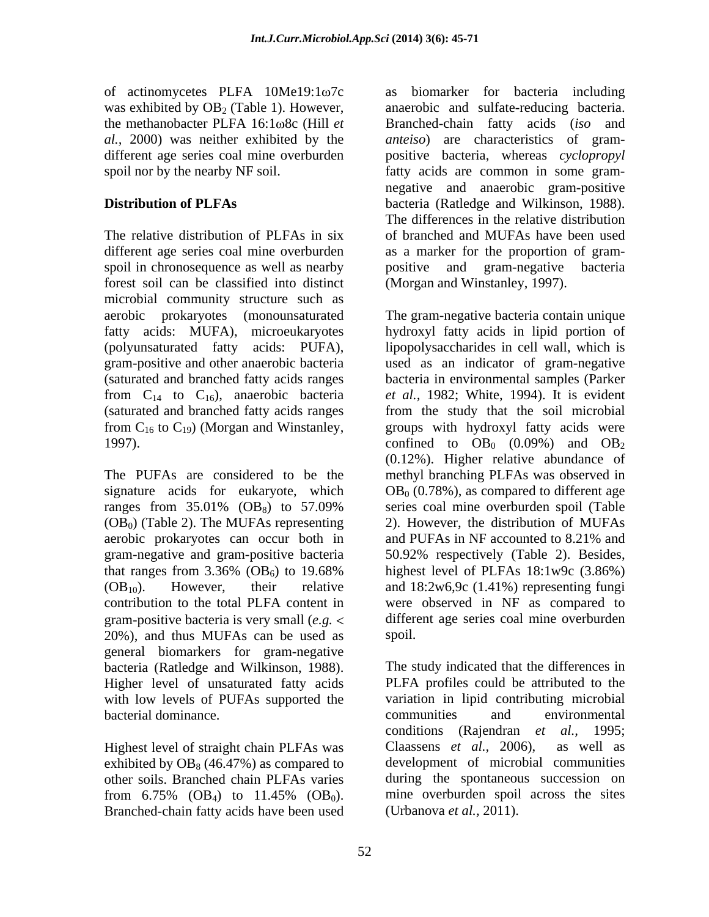of actinomycetes PLFA  $10$ Me $19:1\omega$ 7c as was exhibited by  $OB<sub>2</sub>$  (Table 1). However,

spoil in chronosequence as well as nearby forest soil can be classified into distinct microbial community structure such as aerobic prokaryotes (monounsaturated from  $C_{14}$  to  $C_{16}$ ), anaerobic bacteria

aerobic prokaryotes can occur both in contribution to the total PLFA content in gram-positive bacteria is very small (*e.g.* 20%), and thus MUFAs can be used as general biomarkers for gram-negative bacteria (Ratledge and Wilkinson, 1988). Higher level of unsaturated fatty acids with low levels of PUFAs supported the variation in lipid contributing microbial<br>bacterial dominance.<br>communities and environmental bacterial dominance.

exhibited by  $OB_8$  (46.47%) as compared to Branched-chain fatty acids have been used

the methanobacter PLFA 16:1 $\omega$ 8c (Hill *et* Branched-chain fatty acids (*iso* and *al.,* 2000) was neither exhibited by the *anteiso*) are characteristics of gram different age series coal mine overburden positive bacteria, whereas *cyclopropyl*  spoil nor by the nearby NF soil. fatty acids are common in some gram- **Distribution of PLFAs** bacteria (Ratledge and Wilkinson, 1988). The relative distribution of PLFAs in six of branched and MUFAs have been used different age series coal mine overburden as a marker for the proportion of gram biomarker for bacteria including anaerobic and sulfate-reducing bacteria. negative and anaerobic gram-positive The differences in the relative distribution positive and gram-negative bacteria (Morgan and Winstanley, 1997).

fatty acids: MUFA), microeukaryotes hydroxyl fatty acids in lipid portion of (polyunsaturated fatty acids: PUFA), lipopolysaccharides in cell wall, which is gram-positive and other anaerobic bacteria used as an indicator of gram-negative (saturated and branched fatty acids ranges bacteria in environmental samples (Parker (saturated and branched fatty acids ranges from the study that the soil microbial from  $C_{16}$  to  $C_{19}$ ) (Morgan and Winstanley, groups with hydroxyl fatty acids were 1997). confined to  $OB_0$  (0.09%) and  $OB_2$ The PUFAs are considered to be the methyl branching PLFAs was observed in signature acids for eukaryote, which  $OB_0 (0.78\%)$ , as compared to different age ranges from  $35.01\%$  (OB<sub>8</sub>) to  $57.09\%$  series coal mine overburden spoil (Table  $(OB<sub>0</sub>)$  (Table 2). The MUFAs representing 2). However, the distribution of MUFAs gram-negative and gram-positive bacteria 50.92% respectively (Table 2). Besides, that ranges from  $3.36\%$  (OB<sub>6</sub>) to 19.68% highest level of PLFAs  $18:1w9c$  (3.86%)  $(OB<sub>10</sub>)$ . However, their relative and 18:2w6,9c (1.41%) representing fungi The gram-negative bacteria contain unique *et al.,* 1982; White, 1994). It is evident (0.12%). Higher relative abundance of series coal mine overburden spoil (Table and PUFAs in NF accounted to 8.21% and highest level of PLFAs 18:1w9c (3.86%) were observed in NF as compared to different age series coal mine overburden spoil. The contract of the contract of the contract of the contract of the contract of the contract of the contract of the contract of the contract of the contract of the contract of the contract of the contract of the con

Highest level of straight chain PLFAs was Claassens et al., 2006), as well as other soils. Branched chain PLFAs varies during the spontaneous succession on from 6.75% (OB<sub>4</sub>) to 11.45% (OB<sub>0</sub>). mine overburden spoil across the sites The study indicated that the differences in PLFA profiles could be attributed to the variation in lipid contributing microbial communities and environmental conditions (Rajendran *et al.,* 1995; Claassens  $et \ al., \ 2006$ ), development of microbial communities mine overburden spoil across the sites (Urbanova *et al.,* 2011).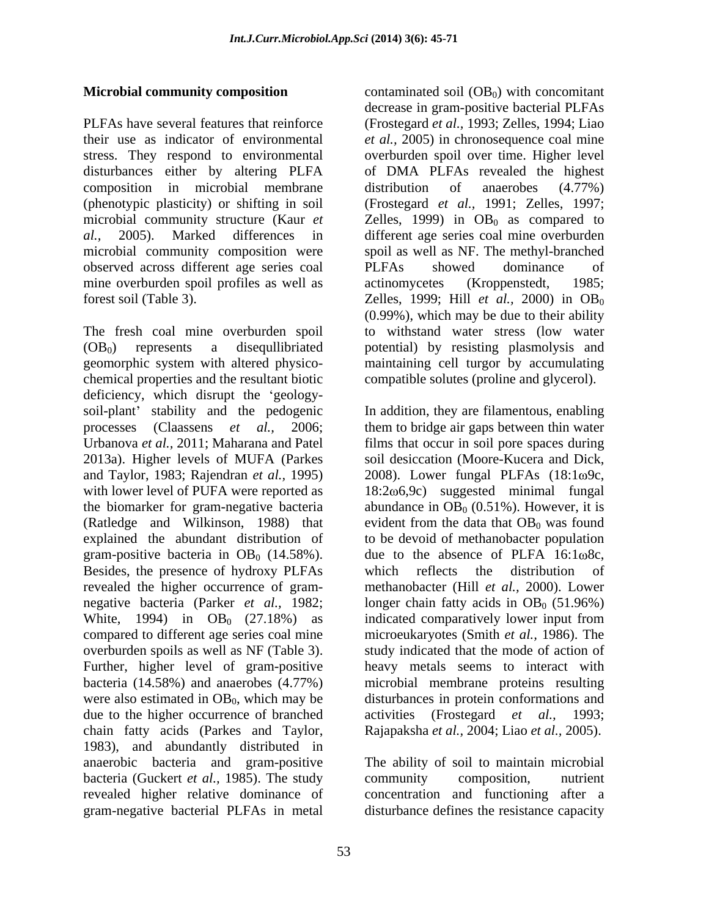disturbances either by altering PLFA composition in microbial membrane distribution of anaerobes (4.77%) observed across different age series coal mine overburden spoil profiles as well as actinomycetes (Kroppenstedt, 1985;

The fresh coal mine overburden spoil to withstand water stress (low water (OB0) represents a disequllibriated potential) by resisting plasmolysis and geomorphic system with altered physico- maintaining cell turgor by accumulating chemical properties and the resultant biotic deficiency, which disrupt the 'geologysoil-plant' stability and the pedogenic In addition, they are filamentous, enabling processes (Claassens *et al.,* 2006; them to bridge air gaps between thin water Urbanova *et al.*, 2011; Maharana and Patel films that occur in soil pore spaces during 2013a). Higher levels of MUFA (Parkes soil desiccation (Moore-Kucera and Dick, and Taylor, 1983; Rajendran *et al.,* 1995) with lower level of PUFA were reported as the biomarker for gram-negative bacteria  $\qquad$  abundance in OB<sub>0</sub> (0.51%). However, it is (Ratledge and Wilkinson, 1988) that evident from the data that  $OB_0$  was found explained the abundant distribution of to be devoid of methanobacter population gram-positive bacteria in  $OB_0$  (14.58%). due to the absence of PLFA 16:1 $\omega$ 8c, Besides, the presence of hydroxy PLFAs which reflects the distribution of revealed the higher occurrence of gram-<br>methanobacter (Hill *et al.*, 2000). Lower negative bacteria (Parker *et al.*, 1982; longer chain fatty acids in OB<sub>0</sub> (51.96%) White, 1994) in  $OB_0$  (27.18%) as compared to different age series coal mine microeukaryotes (Smith *et al.,* 1986). The overburden spoils as well as NF (Table 3). Study indicated that the mode of action of Further, higher level of gram-positive bacteria (14.58%) and anaerobes (4.77%) microbial membrane proteins resulting were also estimated in  $OB_0$ , which may be disturbances in protein conformations and due to the higher occurrence of branched activities (Frostegard *et al.*, 1993; chain fatty acids (Parkes and Taylor, 1983), and abundantly distributed in anaerobic bacteria and gram-positive The ability of soil to maintain microbial bacteria (Guckert *et al.,* 1985). The study revealed higher relative dominance of gram-negative bacterial PLFAs in metal disturbance defines the resistance capacity

**Microbial community composition** contaminated soil (OB<sub>0</sub>) with concomitant PLFAs have several features that reinforce (Frostegard *et al.,* 1993; Zelles, 1994; Liao their use as indicator of environmental *et al.,* 2005) in chronosequence coal mine stress. They respond to environmental overburden spoil over time. Higher level (phenotypic plasticity) or shifting in soil (Frostegard *et al.,* 1991; Zelles, 1997; microbial community structure (Kaur  $et$   $\qquad$  Zelles, 1999) in  $OB<sub>0</sub>$  as compared to *al.,* 2005). Marked differences in different age series coal mine overburden microbial community composition were spoil as well as NF. The methyl-branched forest soil (Table 3). Zelles, 1999; Hill *et al.,* 2000) in OB0 decrease in gram-positive bacterial PLFAs of DMA PLFAs revealed the highest distribution of anaerobes (4.77%) PLFAs showed dominance of actinomycetes (Kroppenstedt, 1985; (0.99%), which may be due to their ability compatible solutes (proline and glycerol).

> 2008). Lower fungal PLFAs  $(18:1\omega$ 9c,  $18:2\omega$ 6,9c) suggested minimal fungal evident from the data that  $OB_0$  was found which reflects the distribution of indicated comparatively lower input from heavy metals seems to interact with activities (Frostegard *et al.,* 1993; Rajapaksha *et al.,* 2004; Liao *et al.,* 2005).

community composition, nutrient concentration and functioning after a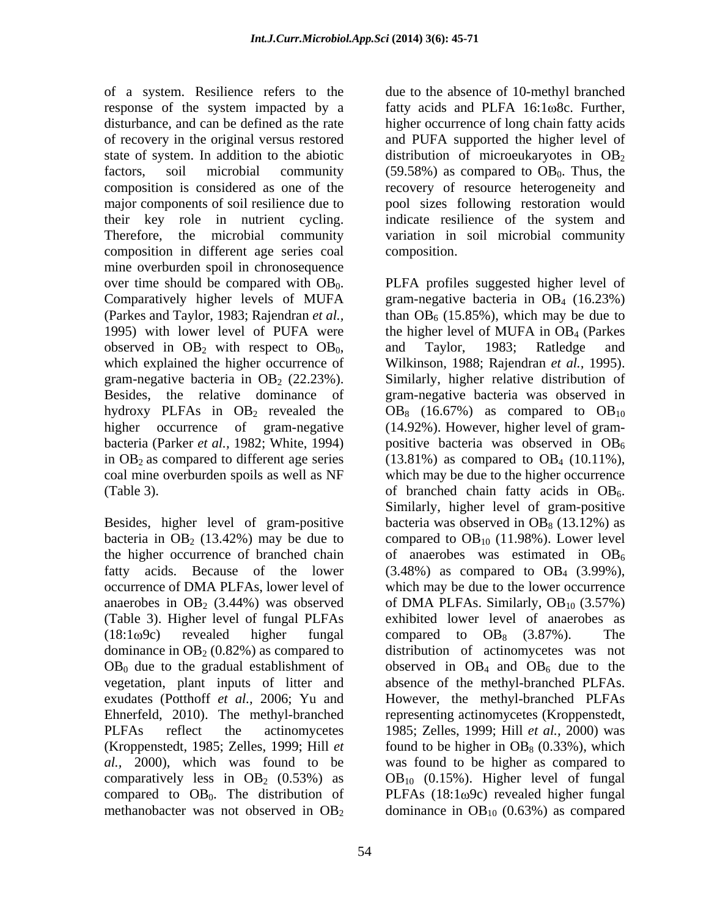of a system. Resilience refers to the response of the system impacted by a state of system. In addition to the abiotic composition in different age series coal mine overburden spoil in chronosequence (Table 3).  $\qquad \qquad$  of branched chain fatty acids in OB<sub>6</sub>.

Besides, higher level of gram-positive (Table 3). Higher level of fungal PLFAs  $OB<sub>0</sub>$  due to the gradual establishment of methanobacter was not observed in  $OB<sub>2</sub>$  dominance in  $OB<sub>10</sub>$  (0.63%) as compared

disturbance, and can be defined as the rate higher occurrence of long chain fatty acids of recovery in the original versus restored and PUFA supported the higher level of factors, soil microbial community  $(59.58%)$  as compared to  $OB<sub>0</sub>$ . Thus, the composition is considered as one of the recovery of resource heterogeneity and major components of soil resilience due to pool sizes following restoration would their key role in nutrient cycling. indicate resilience of the system and Therefore, the microbial community variation in soil microbial community due to the absence of 10-methyl branched fatty acids and PLFA  $16:1 \omega$ 8c. Further, distribution of microeukaryotes in  $OB<sub>2</sub>$ composition.

over time should be compared with  $OB_0$ . <br>Comparatively higher levels of MUFA gram-negative bacteria in  $OB_4$  (16.23%) (Parkes and Taylor, 1983; Rajendran *et al.*, than  $OB_6$  (15.85%), which may be due to 1995) with lower level of PUFA were the higher level of MUFA in OB4 (Parkes observed in  $OB_2$  with respect to  $OB_0$ , and Taylor, 1983; Ratledge and which explained the higher occurrence of Wilkinson, 1988; Rajendran *et al.*, 1995). gram-negative bacteria in  $OB_2$  (22.23%). Similarly, higher relative distribution of Besides, the relative dominance of gram-negative bacteria was observed in hydroxy PLFAs in  $OB_2$  revealed the  $OB_8$  (16.67%) as compared to  $OB_{10}$ higher occurrence of gram-negative (14.92%). However, higher level of gram bacteria (Parker *et al.*, 1982; White, 1994) positive bacteria was observed in OB<sub>6</sub> in  $OB_2$  as compared to different age series (13.81%) as compared to  $OB_4$  (10.11%), coal mine overburden spoils as well as NF which may be due to the higher occurrence bacteria in OB<sub>2</sub> (13.42%) may be due to compared to OB<sub>10</sub> (11.98%). Lower level the higher occurrence of branched chain  $\qquad$  of anaerobes was estimated in  $OB_6$ fatty acids. Because of the lower  $(3.48%)$  as compared to  $OB_4$   $(3.99%)$ , occurrence of DMA PLFAs, lower level of which may be due to the lower occurrence anaerobes in OB<sub>2</sub> (3.44%) was observed of DMA PLFAs. Similarly,  $OB_{10}$  (3.57%)  $(18:1\omega$ 9c) revealed higher fungal compared to  $OB_8$  (3.87%). The dominance in  $OB_2 (0.82%)$  as compared to distribution of actinomycetes was not vegetation, plant inputs of litter and absence of the methyl-branched PLFAs. exudates (Potthoff *et al.,* 2006; Yu and However, the methyl-branched PLFAs Ehnerfeld, 2010). The methyl-branched representing actinomycetes (Kroppenstedt, PLFAs reflect the actinomycetes 1985; Zelles, 1999; Hill *et al.,* 2000) was (Kroppenstedt, 1985; Zelles, 1999; Hill  $et$  found to be higher in  $OB_8$  (0.33%), which *al.,* 2000), which was found to be was found to be higher as compared to comparatively less in  $OB_2$  (0.53%) as  $OB_{10}$  (0.15%). Higher level of fungal compared to  $OB_0$ . The distribution of PLFAs (18:1 $\omega$ 9c) revealed higher fungal PLFA profiles suggested higher level of gram-negative bacteria in  $OB<sub>4</sub>$  (16.23%) and Taylor, 1983; Ratledge and Wilkinson, 1988; Rajendran *et al.,* 1995). of branched chain fatty acids in  $OB_6$ .<br>Similarly, higher level of gram-positive bacteria was observed in  $OB_8$  (13.12%) as exhibited lower level of anaerobes as observed in  $OB_4$  and  $OB_6$  due to the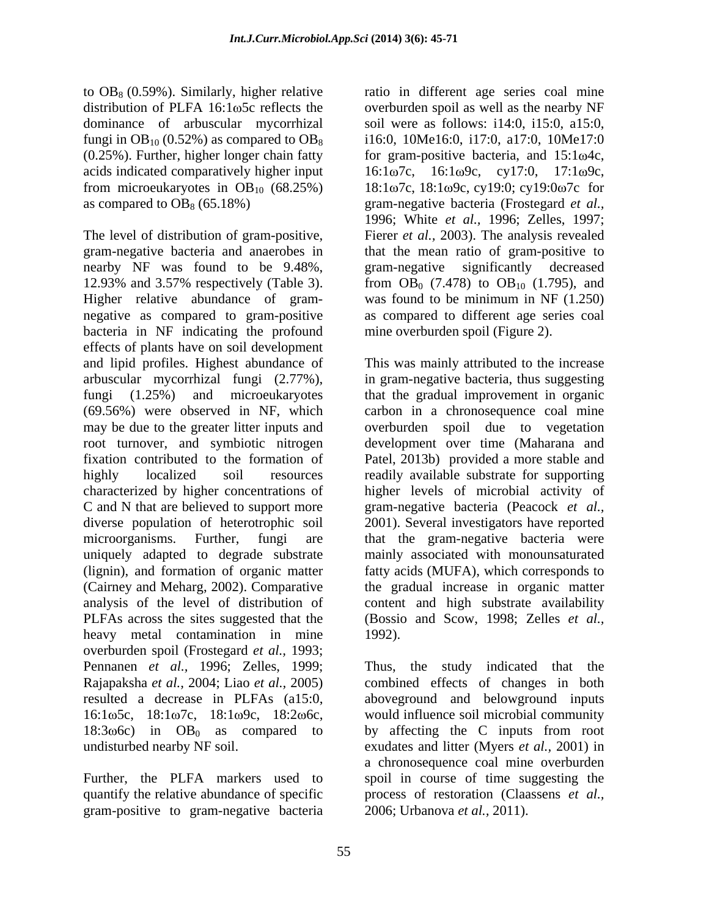acids indicated comparatively higher input  $16:1\omega$ 7c,  $16:1\omega$ 9c, cy17:0, 17:1 $\omega$ 9c,

The level of distribution of gram-positive, Fierer *et al.,* 2003). The analysis revealed gram-negative bacteria and anaerobes in that the mean ratio of gram-positive to nearby NF was found to be 9.48%, 12.93% and 3.57% respectively (Table 3). Higher relative abundance of gram- was found to be minimum in NF (1.250) negative as compared to gram-positive bacteria in NF indicating the profound effects of plants have on soil development and lipid profiles. Highest abundance of This was mainly attributed to the increase arbuscular mycorrhizal fungi (2.77%), in gram-negative bacteria, thus suggesting fungi (1.25%) and microeukaryotes that the gradual improvement in organic (69.56%) were observed in NF, which carbon in a chronosequence coal mine may be due to the greater litter inputs and overburden spoil due to vegetation root turnover, and symbiotic nitrogen fixation contributed to the formation of Patel, 2013b) provided a more stable and highly localized soil resources readily available substrate for supporting characterized by higher concentrations of higher levels of microbial activity of C and N that are believed to support more gram-negative bacteria (Peacock *et al.,* diverse population of heterotrophic soil 2001). Several investigators have reported microorganisms. Further, fungi are that the gram-negative bacteria were uniquely adapted to degrade substrate mainly associated with monounsaturated (lignin), and formation of organic matter fatty acids (MUFA), which corresponds to (Cairney and Meharg, 2002). Comparative the gradual increase in organic matter analysis of the level of distribution of content and high substrate availability PLFAs across the sites suggested that the (Bossio and Scow, 1998; Zelles *et al.,* heavy metal contamination in mine 1992). overburden spoil (Frostegard *et al.,* 1993; Pennanen *et al.,* 1996; Zelles, 1999; Rajapaksha *et al.,* 2004; Liao *et al.,*2005) resulted a decrease in PLFAs (a15:0, aboveground and belowground inputs  $16:1\omega$ 5c,  $18:1\omega$ 7c,  $18:1\omega$ 9c,  $18:2\omega$ 6c, would influence soil microbial community 18:3 $\omega$ 6c) in OB<sub>0</sub> as compared to by affecting the C inputs from root undisturbed nearby NF soil. exudates and litter (Myers *et al.,* 2001) in

gram-positive to gram-negative bacteria

to  $OB_8$  (0.59%). Similarly, higher relative ratio in different age series coal mine distribution of PLFA  $16:1\omega$ 5c reflects the overburden spoil as well as the nearby NF dominance of arbuscular mycorrhizal soil were as follows: i14:0, i15:0, a15:0, fungi in OB<sub>10</sub> (0.52%) as compared to OB<sub>8</sub> i16:0, 10Me16:0, i17:0, a17:0, 10Me17:0  $(0.25\%)$ . Further, higher longer chain fatty for gram-positive bacteria, and  $15:1\omega$ 4c, from microeukaryotes in  $OB_{10}$  (68.25%) 18:1 $\omega$ 7c, 18:1 $\omega$ 9c, cy19:0; cy19:0 $\omega$ 7c for as compared to OB<sub>8</sub> (65.18%) gram-negative bacteria (Frostegard *et al.,*  $16:1\omega$ 7c,  $16:1\omega$ 9c, cy17:0, 1996; White *et al.,* 1996; Zelles, 1997; gram-negative significantly decreased from  $OB_0$  (7.478) to  $OB_{10}$  (1.795), and as compared to different age series coal mine overburden spoil (Figure 2).

> development over time (Maharana and 1992).

Further, the PLFA markers used to spoil in course of time suggesting the quantify the relative abundance of specific process of restoration (Claassens *et al.,* the study indicated that the combined effects of changes in both a chronosequence coal mine overburden 2006; Urbanova *et al.,* 2011).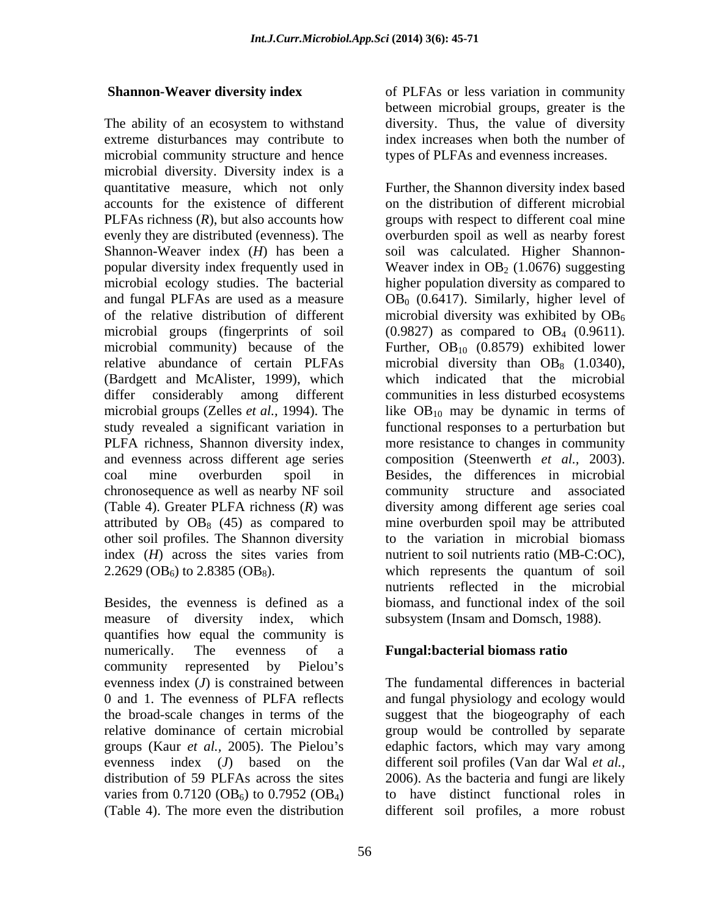The ability of an ecosystem to withstand diversity. Thus, the value of diversity extreme disturbances may contribute to index increases when both the number of microbial community structure and hence microbial diversity. Diversity index is a accounts for the existence of different Shannon-Weaver index (*H*) has been a microbial community) because of the study revealed a significant variation in PLFA richness, Shannon diversity index, chronosequence as well as nearby NF soil other soil profiles. The Shannon diversity 2.2629 (OB<sub>6</sub>) to 2.8385 (OB<sub>8</sub>). which represents the quantum of soil

measure of diversity index, which subsystem (Insam and Domsch, 1988). quantifies how equal the community is numerically. The evenness of a **Fungal:bacterial biomass ratio** community represented by Pielou's evenness index (*J*) is constrained between 0 and 1. The evenness of PLFA reflects and fungal physiology and ecology would the broad-scale changes in terms of the suggest that the biogeography of each relative dominance of certain microbial group would be controlled by separate groups (Kaur *et al.*, 2005). The Pielou's edaphic factors, which may vary among evenness index (*J*) based on the different soil profiles (Van dar Wal *et al.,* distribution of 59 PLFAs across the sites 2006). As the bacteria and fungi are likely varies from  $0.7120 \text{ (OB}_6)$  to  $0.7952 \text{ (OB}_4)$  to have distinct functional roles in

**Shannon-Weaver diversity index** of PLFAs or less variation in community between microbial groups, greater is the diversity. Thus, the value of diversity types of PLFAs and evenness increases.

quantitative measure, which not only Further, the Shannon diversity index based PLFAs richness (*R*), but also accounts how groups with respect to different coal mine evenly they are distributed (evenness). The overburden spoil as well as nearby forest popular diversity index frequently used in Weaver index in  $OB_2$  (1.0676) suggesting microbial ecology studies. The bacterial higher population diversity as compared to and fungal PLFAs are used as a measure  $OB_0$  (0.6417). Similarly, higher level of of the relative distribution of different microbial diversity was exhibited by  $OB_6$ microbial groups (fingerprints of soil  $(0.9827)$  as compared to  $OB<sub>4</sub>$  (0.9611). relative abundance of certain PLFAs microbial diversity than  $OB_8$  (1.0340), (Bardgett and McAlister, 1999), which which indicated that the microbial differ considerably among different communities in less disturbed ecosystems microbial groups (Zelles *et al.*, 1994). The like OB<sub>10</sub> may be dynamic in terms of and evenness across different age series composition (Steenwerth *et al.,* 2003). coal mine overburden spoil in Besides, the differences in microbial (Table 4). Greater PLFA richness (*R*) was diversity among different age series coal attributed by  $OB_8$  (45) as compared to mine overburden spoil may be attributed index (*H*) across the sites varies from nutrient to soil nutrients ratio (MB-C:OC), Besides, the evenness is defined as a biomass, and functional index of the soil on the distribution of different microbial soil was calculated. Higher Shannon- Further,  $OB_{10}$  (0.8579) exhibited lower functional responses to a perturbation but more resistance to changes in community structure and associated to the variation in microbial biomass nutrient to soil nutrients ratio (MB-C:OC), which represents the quantum of soil nutrients reflected in the microbial

(Table 4). The more even the distribution different soil profiles, a more robustThe fundamental differences in bacterial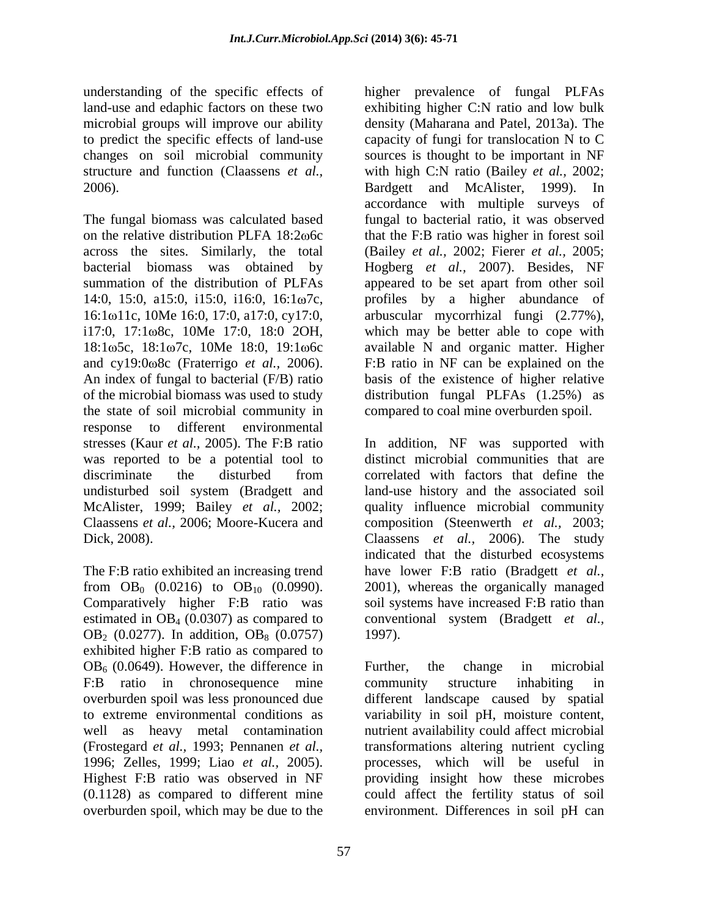microbial groups will improve our ability

The fungal biomass was calculated based fungal to bacterial ratio, it was observed on the relative distribution PLFA  $18:2\omega$ 6c that the F:B ratio was higher in forest soil across the sites. Similarly, the total (Bailey *et al.,* 2002; Fierer *et al.,* 2005; bacterial biomass was obtained by Hogberg *et al.,* 2007). Besides, NF summation of the distribution of PLFAs appeared to be set apart from other soil 14:0, 15:0, a15:0, i15:0, i16:0, 16:1ω7c, profiles by a higher abundance of 16:1ω11c, 10Me 16:0, 17:0, a17:0, cy17:0, i17:0, 17:1 $\omega$ 8c, 10Me 17:0, 18:0 2OH, which may be better able to cope with 18:1 $\omega$ 5c, 18:1 $\omega$ 7c, 10Me 18:0, 19:1 $\omega$ 6c available N and organic matter. Higher and cy19:0 8c (Fraterrigo *et al.,* 2006). F:B ratio in NF can be explained on the An index of fungal to bacterial (F/B) ratio basis of the existence of higher relative of the microbial biomass was used to study distribution fungal PLFAs (1.25%) as the state of soil microbial community in response to different environmental was reported to be a potential tool to McAlister, 1999; Bailey *et al.,* 2002;

Comparatively higher F:B ratio was OB<sub>2</sub> (0.0277). In addition, OB<sub>8</sub> (0.0757) 1997). exhibited higher F:B ratio as compared to  $OB<sub>6</sub>$  (0.0649). However, the difference in Further, the change in microbial F:B ratio in chronosequence mine community structure inhabiting in to extreme environmental conditions as variability in soil pH, moisture content, well as heavy metal contamination nutrient availability could affect microbial (Frostegard *et al.,* 1993; Pennanen *et al.,* 1996; Zelles, 1999; Liao *et al.,* 2005). overburden spoil, which may be due to the environment. Differences in soil pH can

understanding of the specific effects of higher prevalence of fungal PLFAs land-use and edaphic factors on these two exhibiting higher C:N ratio and low bulk to predict the specific effects of land-use capacity of fungi for translocation N to C changes on soil microbial community sources is thought to be important in NF structure and function (Claassens *et al.,* with high C:N ratio (Bailey *et al.,* 2002; 2006). Bardgett and McAlister, 1999). In density (Maharana and Patel, 2013a). The accordance with multiple surveys of arbuscular mycorrhizal fungi (2.77%), compared to coal mine overburden spoil.

stresses (Kaur *et al.,* 2005). The F:B ratio In addition, NF was supported with discriminate the disturbed from correlated with factors that define the undisturbed soil system (Bradgett and land-use history and the associated soil Claassens *et al.,* 2006; Moore-Kucera and composition (Steenwerth *et al.,* 2003; Dick, 2008). Claassens *et al.,* 2006). The study The F:B ratio exhibited an increasing trend have lower F:B ratio (Bradgett *et al.,* from  $OB_0$  (0.0216) to  $OB_{10}$  (0.0990). 2001), whereas the organically managed estimated in OB<sub>4</sub> (0.0307) as compared to conventional system (Bradgett *et al.*, distinct microbial communities that are correlated with factors that define the quality influence microbial community indicated that the disturbed ecosystems soil systems have increased F:B ratio than 1997).

overburden spoil was less pronounced due different landscape caused by spatial Highest F:B ratio was observed in NF providing insight how these microbes (0.1128) as compared to different mine could affect the fertility status of soil Further, the change in microbial community structure inhabiting in variability in soil pH, moisture content,<br>nutrient availability could affect microbial transformations altering nutrient cycling processes, which will be useful in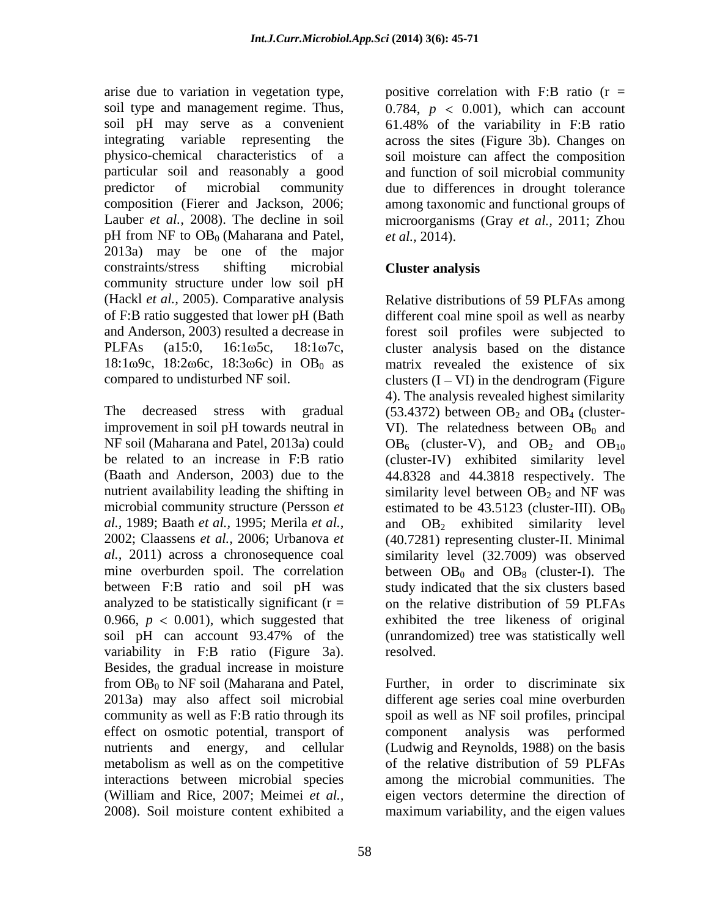arise due to variation in vegetation type, positive correlation with F:B ratio (r = soil type and management regime. Thus, soil pH may serve as a convenient 61.48% of the variability in F:B ratio integrating variable representing the across the sites (Figure 3b). Changes on physico-chemical characteristics of a soil moisture can affect the composition particular soil and reasonably a good and function of soil microbial community predictor of microbial community due to differences in drought tolerance composition (Fierer and Jackson, 2006; among taxonomic and functional groups of Lauber *et al.*, 2008). The decline in soil microorganisms (Gray *et al.*, 2011; Zhou pH from NF to  $OB_0$  (Maharana and Patel, *et al.*, 2014). 2013a) may be one of the major constraints/stress shifting microbial **Cluster analysis** community structure under low soil pH (Hackl *et al.,* 2005). Comparative analysis of F:B ratio suggested that lower pH (Bath different coal mine spoil as well as nearby and Anderson, 2003) resulted a decrease in forest soil profiles were subjected to PLFAs  $(a15:0, 16:1\omega 5c, 18:1\omega 7c,$  cluster analysis based on the distance  $18:1\omega$ 9c,  $18:2\omega$ 6c,  $18:3\omega$ 6c) in OB<sub>0</sub> as matrix revealed the existence of six

The decreased stress with gradual  $(53.4372)$  between  $OB_2$  and  $OB_4$  (clusterimprovement in soil pH towards neutral in  $VI$ ). The relatedness between  $OB_0$  and NF soil (Maharana and Patel, 2013a) could  $OB_6$  (cluster-V), and  $OB_2$  and  $OB_{10}$ be related to an increase in F:B ratio (cluster-IV) exhibited similarity level (Baath and Anderson, 2003) due to the 44.8328 and 44.3818 respectively. The nutrient availability leading the shifting in  $\quad$  similarity level between OB<sub>2</sub> and NF was microbial community structure (Persson  $et$  estimated to be  $43.5123$  (cluster-III). OB<sub>0</sub> *al.,* 1989; Baath *et al.,* 1995; Merila *et al.,* and OB2 exhibited similarity level 2002; Claassens *et al.,* 2006; Urbanova *et al.,* 2011) across a chronosequence coal similarity level (32.7009) was observed mine overburden spoil. The correlation between  $OB_0$  and  $OB_8$  (cluster-I). The between F:B ratio and soil pH was study indicated that the six clusters based analyzed to be statistically significant  $(r = \cdot \cdot \cdot)$  on the relative distribution of 59 PLFAs 0.966,  $p < 0.001$ ), which suggested that soil pH can account 93.47% of the (unrandomized) tree was statistically well variability in F:B ratio (Figure 3a). resolved. Besides, the gradual increase in moisture effect on osmotic potential, transport of component analysis was performed metabolism as well as on the competitive

58

0.784,  $p \le 0.001$ ), which can account 61.48% of the variability in F:B ratio *et al.,* 2014).

# **Cluster analysis**

 $compared to undisturbed NF soil.$  clusters  $(I - VI)$  in the dendrogram (Figure Relative distributions of 59 PLFAs among 4). The analysis revealed highest similarity (40.7281) representing cluster-II. Minimal exhibited the tree likeness of original resolved.

from  $OB_0$  to NF soil (Maharana and Patel, Further, in order to discriminate six 2013a) may also affect soil microbial different age series coal mine overburden community as well as F:B ratio through its spoil as well as NF soil profiles, principal nutrients and energy, and cellular (Ludwig and Reynolds, 1988) on the basis interactions between microbial species among the microbial communities. The (William and Rice, 2007; Meimei *et al.,* eigen vectors determine the direction of 2008). Soil moisture content exhibited a maximum variability, and the eigen valuescomponent analysis was performed of the relative distribution of 59 PLFAs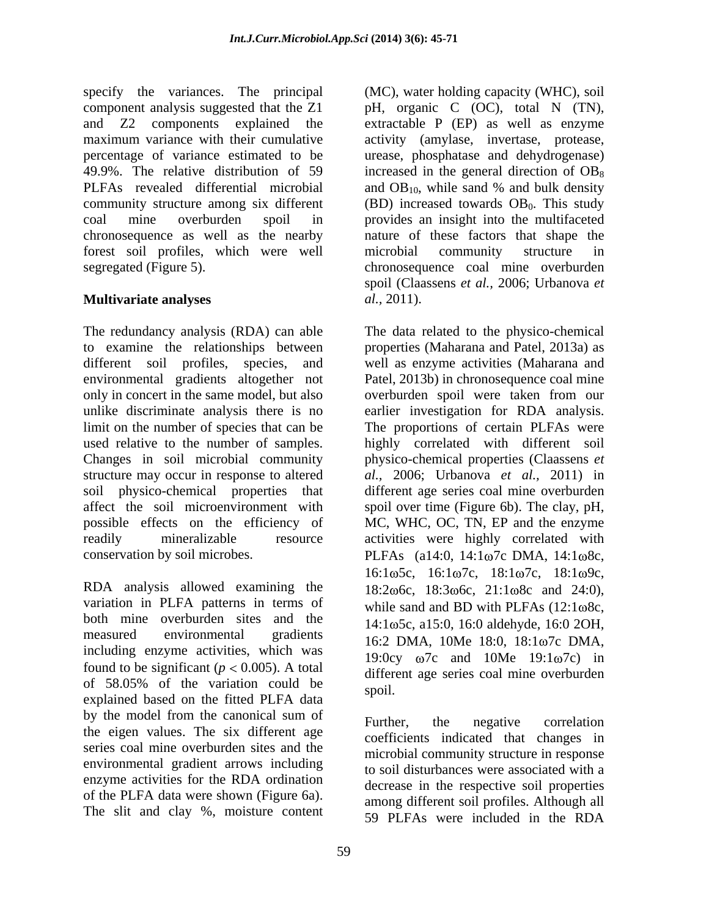specify the variances. The principal component analysis suggested that the Z1 pH, organic C (OC), total N (TN), and Z2 components explained the extractable P (EP) as well as enzyme maximum variance with their cumulative activity (amylase, invertase, protease, percentage of variance estimated to be urease, phosphatase and dehydrogenase) 49.9%. The relative distribution of 59 increased in the general direction of  $OB_8$ PLFAs revealed differential microbial and OB<sub>10</sub>, while sand % and bulk density community structure among six different  $(BD)$  increased towards  $OB<sub>0</sub>$ . This study coal mine overburden spoil in provides an insight into the multifaceted chronosequence as well as the nearby nature of these factors that shape the forest soil profiles, which were well segregated (Figure 5). chronosequence coal mine overburden

# **Multivariate analyses** *al.*, 2011).

The redundancy analysis (RDA) can able The data related to the physico-chemical to examine the relationships between properties (Maharana and Patel, 2013a) as different soil profiles, species, and well as enzyme activities (Maharana and environmental gradients altogether not only in concert in the same model, but also overburden spoil were taken from our unlike discriminate analysis there is no earlier investigation for RDA analysis. limit on the number of species that can be The proportions of certain PLFAs were used relative to the number of samples. highly correlated with different soil Changes in soil microbial community physico-chemical properties (Claassens *et*  structure may occur in response to altered *al.,* 2006; Urbanova *et al.,* 2011) in soil physico-chemical properties that different age series coal mine overburden affect the soil microenvironment with spoil over time (Figure 6b). The clay, pH, possible effects on the efficiency of MC, WHC, OC, TN, EP and the enzyme readily mineralizable resource activities were highly correlated with

RDA analysis allowed examining the variation in PLFA patterns in terms of both mine overburden sites and the measured environmental gradients  $16:2 \text{ DMA}, 10\text{Me } 18:0, 18:1\omega7c \text{ DMA},$ including enzyme activities, which was found to be significant ( $p < 0.005$ ). A total of  $58.05\%$  of the variation could be  $\frac{\text{a}}{\text{c}}$  solution  $\frac{\text{c}}{\text{c}}$  solution. or 38.03% or the variation could be spoil.<br>explained based on the fitted PLFA data by the model from the canonical sum of  $F_{\text{Further}}$  the negative correlation by the model from the canonical sum of<br>the eigen values. The six different age approximate indicated that abong<br>the contract indicated that abong<br>the six different age series coal mine overburden sites and the environmental gradient arrows including enzyme activities for the RDA ordination of the PLFA data were shown (Figure 6a). The slit and clay %, moisture content

(MC), water holding capacity (WHC), soil and  $OB_{10}$ , while sand % and bulk density microbial community structure in spoil (Claassens *et al.,* 2006; Urbanova *et al.,* 2011).

conservation by soil microbes.  $PLFAs$  (a14:0, 14:1 $\omega$ 7c DMA, 14:1 $\omega$ 8c, Patel, 2013b) in chronosequence coal mine 16:1ω5c, 16:1ω7c, 18:1ω7c, 18:1ω9c,  $18:2\omega$ 6c,  $18:3\omega$ 6c,  $21:1\omega$ 8c and  $24:0$ ), while sand and BD with PLFAs  $(12:1\omega)$ 8c, 14:1 5c, a15:0, 16:0 aldehyde, 16:0 2OH, 19:0cy  $\omega$ 7c and 10Me 19:1 $\omega$ 7c) in different age series coal mine overburden spoil.

> Further, the negative correlation coefficients indicated that changes in microbial community structure in response to soil disturbances were associated with a decrease in the respective soil properties among different soil profiles. Although all 59 PLFAs were included in the RDA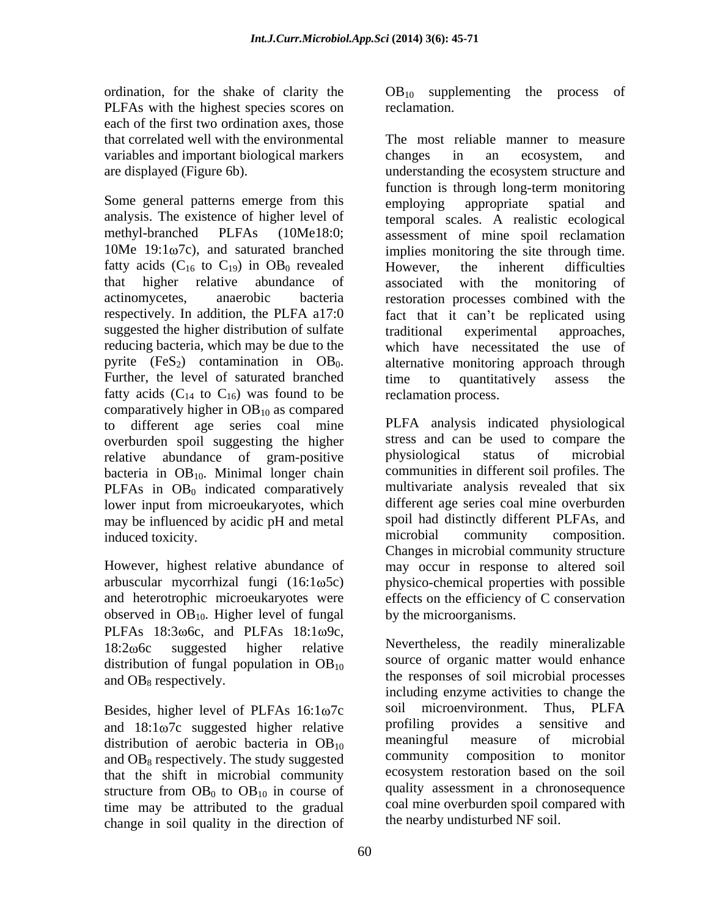PLFAs with the highest species scores on reclamation. each of the first two ordination axes, those variables and important biological markers

fatty acids  $(C_{16}$  to  $C_{19}$ ) in  $OB_0$  revealed However, the inherent difficulties suggested the higher distribution of sulfate traditional experimental approaches, reducing bacteria, which may be due to the fatty acids  $(C_{14}$  to  $C_{16}$ ) was found to be comparatively higher in  $OB_{10}$  as compared to different age series coal mine overburden spoil suggesting the higher stress and can be used to compare the relative abundance of gram-positive physiological status of microbial relative abundance of gram-positive bacteria in  $OB_{10}$ . Minimal longer chain PLFAs in  $OB<sub>0</sub>$  indicated comparatively lower input from microeukaryotes, which may be influenced by acidic pH and metal spoil had distinctly different PLFAs, and microbial community composition. induced toxicity.

observed in  $OB_{10}$ . Higher level of fungal PLFAs  $18:3\omega$ 6c, and PLFAs  $18:1\omega$ 9c, distribution of fungal population in  $OB_{10}$ 

and  $18:1\omega$  7c suggested higher relative and provides a sensitive and distribution of aerobic bacteria in  $OR_{10}$  meaningful measure of microbial distribution of aerobic bacteria in OB<sub>10</sub> and  $OB_8$  respectively. The study suggested that the shift in microbial community structure from  $OB<sub>0</sub>$  to  $OB<sub>10</sub>$  in course of time may be attributed to the gradual change in soil quality in the direction of

ordination, for the shake of clarity the  $OB_{10}$  supplementing the process of reclamation.

that correlated well with the environmental The most reliable manner to measure are displayed (Figure 6b). understanding the ecosystem structure and Some general patterns emerge from this employing appropriate spatial and analysis. The existence of higher level of temporal scales. A realistic ecological methyl-branched PLFAs (10Me18:0; assessment of mine spoil reclamation 10Me 19:1ω7c), and saturated branched implies monitoring the site through time. that higher relative abundance of actinomycetes, anaerobic bacteria restoration processes combined with the respectively. In addition, the PLFA a17:0 fact that it can't be replicated using pyrite (FeS<sub>2</sub>) contamination in  $OB_0$ . alternative monitoring approach through Further, the level of saturated branched time to quantitatively assess the changes in an ecosystem, and function is through long-term monitoring employing appropriate spatial and However, the inherent difficulties associated with the monitoring of traditional experimental approaches, which have necessitated the use of alternative monitoring approach through time to quantitatively assess the reclamation process.

However, highest relative abundance of may occur in response to altered soil arbuscular mycorrhizal fungi (16:1 $\omega$ 5c) physico-chemical properties with possible and heterotrophic microeukaryotes were effects on the efficiency of C conservation PLFA analysis indicated physiological stress and can be used to compare the physiological status of microbial communities in different soil profiles. The multivariate analysis revealed that six different age series coal mine overburden spoil had distinctly different PLFAs, and microbial community composition. Changes in microbial community structure by the microorganisms.

18:2 $\omega$ 6c suggested higher relative Nevertheless, the readily mineralizable and  $OB_8$  respectively.  $\qquad \qquad$  the responses of soil microbial processes Besides, higher level of PLFAs  $16:1\omega7c$  soil microenvironment. Thus, PLFA and  $18:1\omega7c$  suggested higher relative profiling provides a sensitive and source of organic matter would enhance including enzyme activities to change the soil microenvironment. Thus, PLFA profiling provides a sensitive and meaningful measure of microbial community composition to monitor ecosystem restoration based on the soil quality assessment in a chronosequence coal mine overburden spoil compared with the nearby undisturbed NF soil.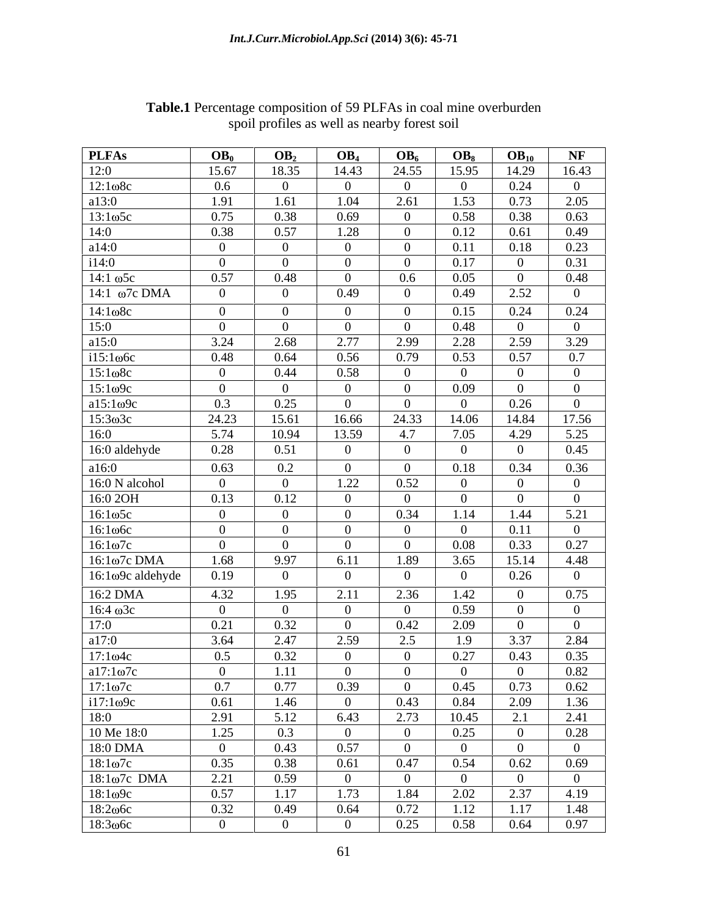| <b>PLFAs</b><br>12:0                      | OB <sub>0</sub>        | OB <sub>2</sub>            |                                  | OB <sub>4</sub>         | OB <sub>6</sub>                  | $OB_8$                 | $OB_{10}$              |
|-------------------------------------------|------------------------|----------------------------|----------------------------------|-------------------------|----------------------------------|------------------------|------------------------|
|                                           | 15.67                  | 18.35                      |                                  | 14.43<br>$\overline{0}$ | 24.55                            | 15.95                  | 14.29                  |
|                                           | $0.6\,$<br>1.91        | $\Omega$<br>1.61           |                                  | 1.04                    | $\overline{0}$<br>2.61           | -0<br>1.53             | 0.24<br>0.73           |
| 0.75                                      |                        | 0.38                       | 0.69                             |                         | $\overline{0}$                   | 0.58                   | 0.38                   |
| 0.38                                      |                        | 0.57                       | 1.28                             |                         | $\overline{0}$                   | 0.12                   | 0.61                   |
| $\overline{0}$<br>$\overline{0}$          |                        | $\overline{0}$<br>$\Omega$ | $\overline{0}$<br>$\overline{0}$ |                         | $\overline{0}$<br>$\overline{0}$ | 0.11<br>0.17           | 0.18<br>$\overline{0}$ |
|                                           | 0.57                   | 0.48                       | $\overline{0}$                   |                         | $0.6\,$                          | 0.05                   | $\overline{0}$         |
|                                           | $\theta$               | $\Omega$                   | 0.49                             |                         | $\overline{0}$                   | 0.49                   | 2.52                   |
|                                           | $\overline{0}$         | $\Omega$                   |                                  | $\overline{0}$          | $\overline{0}$                   | 0.15                   | 0.24                   |
|                                           | $\overline{0}$<br>3.24 | $\Omega$<br>2.68           |                                  | $\overline{0}$<br>2.77  | $\overline{0}$<br>2.99           | 0.48<br>2.28           | $\overline{0}$<br>2.59 |
|                                           | 0.48                   | 0.64                       |                                  | 0.56                    | 0.79                             | 0.53                   | 0.57                   |
| $\overline{0}$                            |                        | 0.44                       | 0.58                             |                         | $\overline{0}$                   | $\Omega$               | $\overline{0}$         |
| $\overline{0}$<br>0.3                     |                        | $\Omega$<br>0.25           | $\overline{0}$<br>$\overline{0}$ |                         | $\overline{0}$<br>$\overline{0}$ | 0.09<br>$\overline{0}$ | $\mathbf{0}$<br>0.26   |
| 24.23                                     |                        | 15.61                      | 16.66                            | 24.33                   |                                  | 14.06                  | 14.84                  |
|                                           | 5.74                   | 10.94                      | 13.59                            | 4.7                     |                                  | 7.05<br>- 0            | 4.29<br>$\overline{0}$ |
| 16:0 aldehyde                             | 0.28<br>0.63           | 0.51<br>$0.2\,$            | $\mathbf{0}$<br>$\overline{0}$   |                         | $\bf{0}$<br>$\overline{0}$       | 0.18                   | 0.34                   |
| a16:0<br>16:0 N alcohol                   | $\overline{0}$         | $\overline{0}$             |                                  | 1.22                    | 0.52                             | $\theta$               | $\mathbf{0}$           |
| 16:0 2OH                                  | 0.13                   | 0.12                       |                                  | $\overline{0}$          | $\overline{0}$                   | $\overline{0}$         | $\overline{0}$         |
| $16:1\omega$ 5c                           | $\bf{0}$               | $\vert 0 \vert$            |                                  | $\overline{0}$          | 0.34                             | 1.14                   | 1.44                   |
| $16:1\omega$ 6c                           | $\overline{0}$         | $\overline{0}$             |                                  | $\overline{0}$          | $\overline{0}$                   | $\overline{0}$         | 0.11                   |
| $16:1\omega$ 7c                           | $\overline{0}$         | $\Omega$                   |                                  | $\overline{0}$          | $\overline{0}$                   | 0.08                   | 0.33                   |
| $16:1ω7c$ DMA<br>$16:1\omega$ 9c aldehyde | 1.68<br>0.19           | 9.97<br>$\overline{0}$     |                                  | 6.11<br>$\overline{0}$  | 1.89<br>$\overline{0}$           | 3.65<br>$\overline{0}$ | 15.14<br>0.26          |
|                                           | 4.32                   | 1.95                       |                                  | 2.11                    | 2.36                             | 1.42                   | $\mathbf{0}$           |
|                                           | $\overline{0}$         | $\Omega$                   |                                  | $\overline{0}$          | $\overline{0}$                   | 0.59                   | $\overline{0}$         |
|                                           | 0.21                   | 0.32                       |                                  | $\overline{0}$          | 0.42                             | 2.09                   | $\overline{0}$         |
|                                           | 3.64                   | 2.47                       |                                  | 2.59                    | 2.5                              | 1.9                    | 3.37                   |
|                                           | 0.5                    | 0.32                       |                                  | $\overline{0}$          | $\overline{0}$                   | 0.27                   | 0.43                   |
|                                           | $\overline{0}$<br>0.7  | 1.11<br>0.77               |                                  | $\overline{0}$<br>0.39  | $\overline{0}$<br>$\overline{0}$ | $\overline{0}$<br>0.45 | $\overline{0}$<br>0.73 |
|                                           | 0.61                   | 1.46                       |                                  | $\overline{0}$          | 0.43                             | 0.84                   | 2.09                   |
| 2.91                                      |                        | 5.12                       | 6.43                             |                         | 2.73                             | 10.45                  | 2.1                    |
| 1.25                                      |                        | 0.3                        | $\overline{0}$                   |                         | $\overline{0}$                   | 0.25                   | $\vert 0 \vert$        |
|                                           | $\overline{0}$<br>0.35 | 0.43<br>0.38               |                                  | 0.57                    | $\overline{0}$<br>0.47           | $\overline{0}$<br>0.54 | $\overline{0}$<br>0.62 |
| 18:1ω7c DMA                               | 2.21                   | 0.59                       |                                  | 0.61<br>$\overline{0}$  | $\overline{\mathbf{0}}$          | $\overline{0}$         | $\overline{0}$         |
| $18:1\omega$ 9c                           | 0.57                   | 1.17                       |                                  | 1.73                    | 1.84                             | 2.02                   | 2.37                   |
| 18:206c<br>18:306с                        | 0.32                   | 0.49                       |                                  | 0.64                    | 0.72                             | 1.12                   | 1.17                   |
|                                           | $\overline{0}$         | $\overline{0}$             |                                  | $\overline{0}$          | 0.25                             | 0.58                   | 0.64                   |

**Table.1** Percentage composition of 59 PLFAs in coal mine overburden spoil profiles as well as nearby forest soil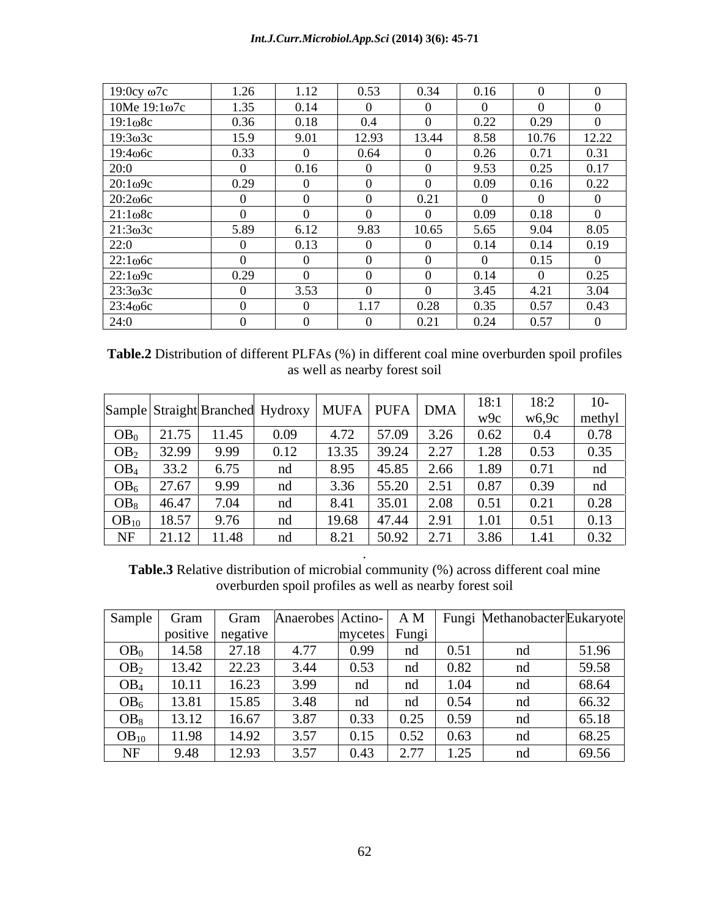| $19:0cy$ $\omega$ 7c               | 1.26     | 1.12 | 0.53  | 0.34  | 0.16 |       |       |
|------------------------------------|----------|------|-------|-------|------|-------|-------|
| $10Me 19:1\omega$ 7c               | 1.35     | 0.14 |       |       |      |       |       |
| $19:1\omega$ 8c                    | 0.36     | 0.18 | 0.4   |       | 0.22 | 0.29  |       |
| $19:3 \omega 3c$                   | 15.9     | 9.01 | 12.93 | 13.44 | 8.58 | 10.76 | 12.22 |
|                                    | 0.33     |      | 0.64  |       | 0.26 | 0.71  | 0.31  |
| $\frac{19:4\omega\text{6c}}{20:0}$ | $\Omega$ | 0.16 |       |       | 9.53 | 0.25  | 0.17  |
| 20:109c                            | 0.29     |      |       |       | 0.09 | 0.16  | 0.22  |
| 20:206c                            | $\Omega$ |      |       | 0.21  |      |       |       |
| $21:1\omega$ 8c                    | $\Omega$ |      |       |       | 0.09 | 0.18  |       |
| 21:303c                            | 5.89     | 6.12 | 9.83  | 10.65 | 5.65 | 9.04  | 8.05  |
| 22:0                               | $\Omega$ | 0.13 |       |       | 0.14 | 0.14  | 0.19  |
| $22:1\omega$ 6c                    |          |      |       |       |      | 0.15  |       |
| $22:1\omega$ 9c                    | 0.29     |      |       |       | 0.14 |       | 0.25  |
| 23:303c                            | $\theta$ | 3.53 |       |       | 3.45 | 4.21  | 3.04  |
| 23:4 <sub>00</sub> 6c              | $\Omega$ |      | 1.17  | 0.28  | 0.35 | 0.57  | 0.43  |
| 24:0                               |          |      |       | 0.21  | 0.24 | 0.57  |       |

**Table.2** Distribution of different PLFAs (%) in different coal mine overburden spoil profiles as well as nearby forest soil

|                 |       |              | Sample Straight Branched Hydroxy   MUFA   PUFA   DMA |       |                            |                               | 0.1<br>WQc | 18:2<br>w6,9c | methyl |
|-----------------|-------|--------------|------------------------------------------------------|-------|----------------------------|-------------------------------|------------|---------------|--------|
| OB <sub>0</sub> | 21.75 | 11.45        | 0.09                                                 | 4.72  | 57.09                      | し・ムモ                          | 0.62       | $\Omega$      | በ 78   |
| OB <sub>2</sub> | 32.99 | 9.99         | 0.12                                                 | 13.35 | 39.24                      | 227<br>$\sim$ . $\sim$ 1      | .28        | 0.53          | 0.35   |
| OB <sub>4</sub> | 33.2  | 6.75         | nd                                                   | 8.95  | 45.85                      | 2.66                          | 1.89       | 0.71          |        |
| OB <sub>6</sub> | 27.67 | 9.99         | nd                                                   | 3.36  | 55.20                      | 2.51                          | 0.87       | 0.39          |        |
| OB <sub>8</sub> | 46.47 | 7.04         | nd                                                   | 8.41  | 35.01                      | 2.08                          | 0.51       | 0.21          | 0.28   |
| $OB_{10}$       | 18.57 | 0.76<br>7.70 | nd                                                   | 19.68 | $A \rightarrow A$<br>47.44 | $\bigcap$ $\bigcap$ 1<br>2.91 | .01        | 0.51          | 0.13   |
| <b>AID</b><br>. | 21.12 | 11.48        | ww                                                   | 8.21  | 50.92                      | 2.71                          | 3.86       | 1.71          | 0.32   |

**Table.3** Relative distribution of microbial community (%) across different coal mine overburden spoil profiles as well as nearby forest soil

. A construction of the construction of the construction of the construction of the construction of the construction of the construction of the construction of the construction of the construction of the construction of th

| Sample          | Gram  | Gram              |      | Anaerobes   Actino- | A M  | $\blacksquare$<br>Fungi |    | MethanobacterEukaryote |
|-----------------|-------|-------------------|------|---------------------|------|-------------------------|----|------------------------|
|                 | .     | positive negative |      | mycetes Fungi       |      |                         |    |                        |
| OB <sub>0</sub> | 14.58 | 27.18             | 4.77 | 0.99                | nd   | 0.51                    | nd | 51.96                  |
| OB <sub>2</sub> | 13.42 | 22.23             | 3.44 | 0.53                | nd   | 0.82                    | nd | 59.58                  |
| OB <sub>4</sub> | 10.11 | 16.23             | 3.99 | nd                  | nd   | 1.04                    | nd | 68.64                  |
| OB <sub>6</sub> | 13.81 | 15.85             | 3.48 | nd                  | nd   | 0.54                    | nd | 66.32                  |
| OB <sub>8</sub> | 13.12 | 16.67             | 3.87 | 0.33                | 0.25 | 0.59                    | nd | 65.18                  |
| $OB_{10}$       | 11.98 | 14.92             | 3.57 | 0.15                | 0.52 | 0.63                    | nd | 68.25                  |
| <b>NIE</b>      | 9.48  | 12.93             | 3.57 | 0.43                | 2.77 | $\bigcap$<br>ر⊾.⊾       | nd | 69.56                  |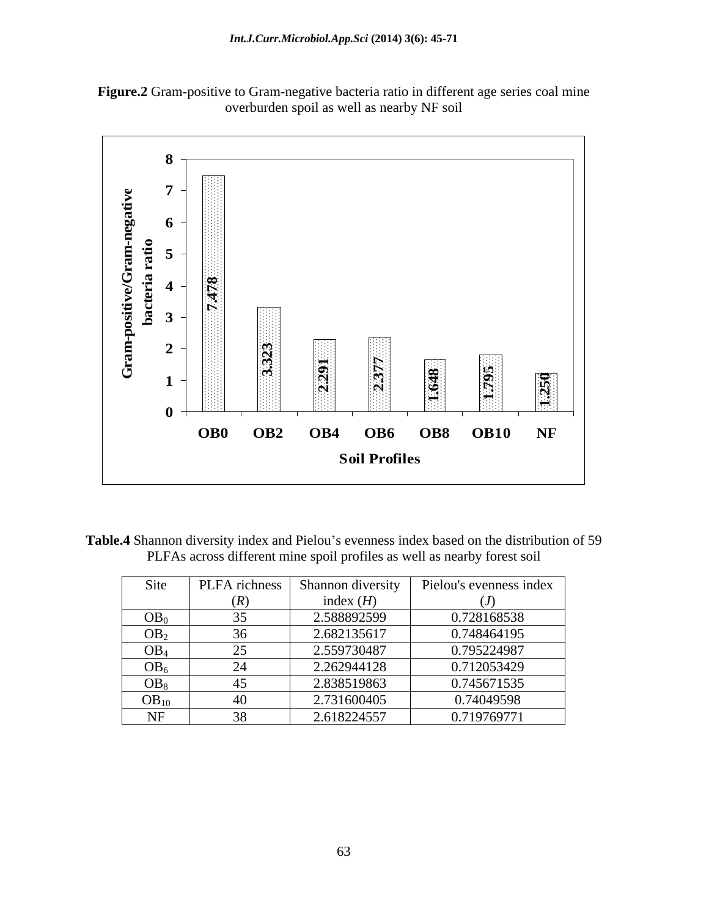



Table.4 Shannon diversity index and Pielou's evenness index based on the distribution of 59 PLFAs across different mine spoil profiles as well as nearby forest soil

| Site            | PLFA richness            | Shannon diversity | Pielou's evenness index |
|-----------------|--------------------------|-------------------|-------------------------|
|                 | (R)                      | index $(H)$       | ιJ.                     |
| OB <sub>0</sub> |                          | 2.588892599       | 0.728168538             |
| OB <sub>2</sub> |                          | 2.682135617       | 0.748464195             |
| OB <sub>4</sub> | $\overline{\phantom{a}}$ | 2.559730487       | 0.795224987             |
| OB <sub>6</sub> | $\bigcap$                | 2.262944128       | 0.712053429             |
| OB <sub>8</sub> |                          | 2.838519863       | 0.745671535             |
| $OB_{10}$       |                          | 2.731600405       | 0.74049598              |
| NF              |                          | 2.618224557       | 0.719769771             |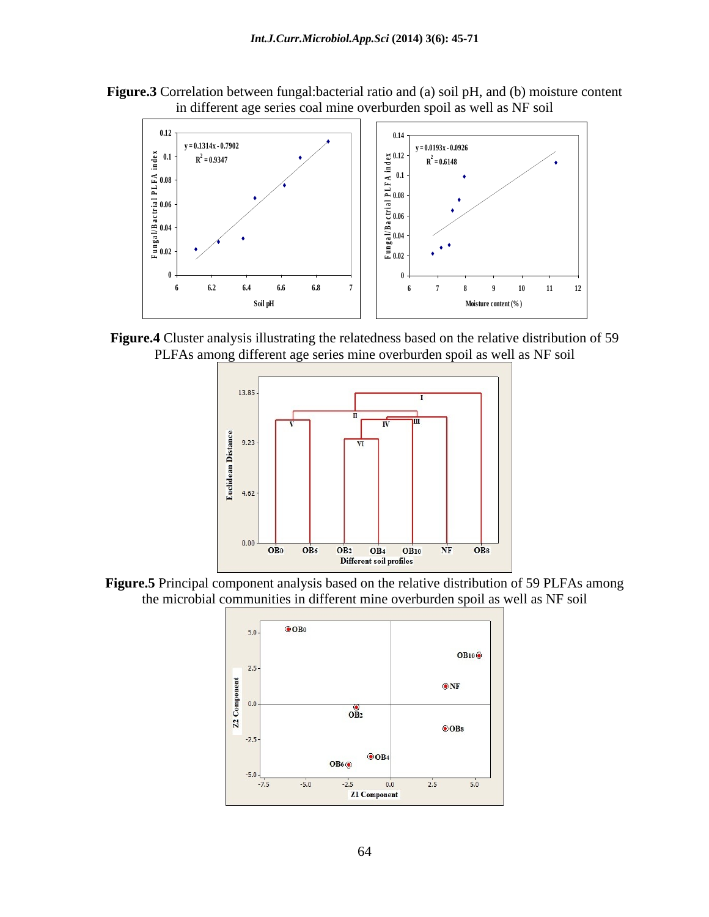**Figure.3** Correlation between fungal:bacterial ratio and (a) soil pH, and (b) moisture content in different age series coal mine overburden spoil as well as NF soil



**Figure.4** Cluster analysis illustrating the relatedness based on the relative distribution of 59 PLFAs among different age series mine overburden spoil as well as NF soil



**Figure.5** Principal component analysis based on the relative distribution of 59 PLFAs among the microbial communities in different mine overburden spoil as well as NF soil

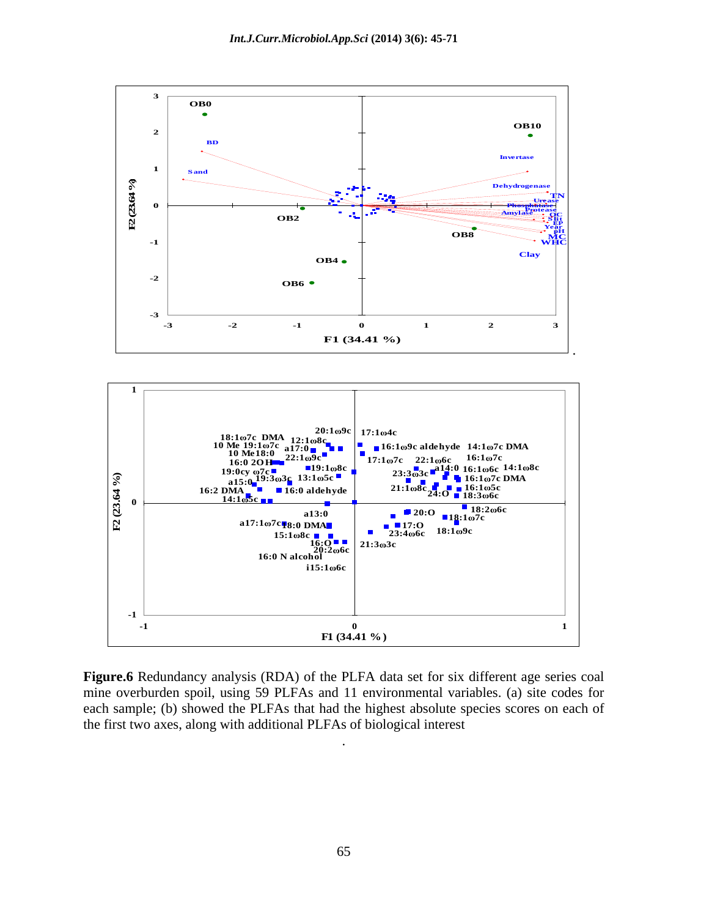



**Figure.6** Redundancy analysis (RDA) of the PLFA data set for six different age series coal mine overburden spoil, using 59 PLFAs and 11 environmental variables. (a) site codes for each sample; (b) showed the PLFAs that had the highest absolute species scores on each of the first two axes, along with additional PLFAs of biological interest

.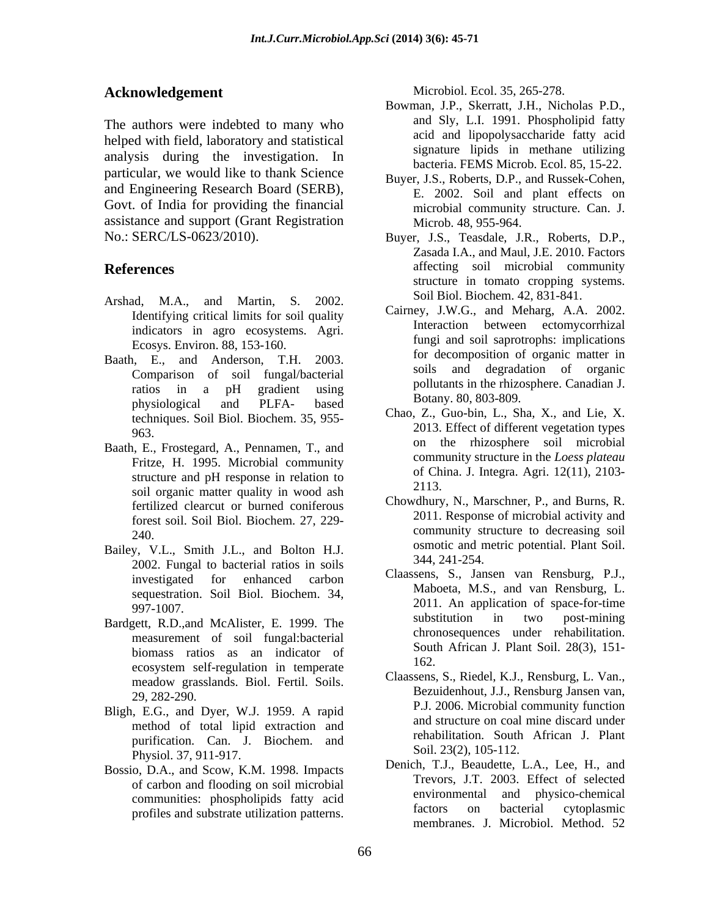The authors were indebted to many who helped with field, laboratory and statistical analysis during the investigation. In particular, we would like to thank Science and Engineering Research Board (SERB), Govt. of India for providing the financial assistance and support (Grant Registration No.: SERC/LS-0623/2010). Buyer, J.S., Teasdale, J.R., Roberts, D.P., **bloomediation**<br> **bloomena,** *Profiles and Systems***. Differences index and Systems and Systems and Systems and Systems and Systems and Systems and Systems and Systems and Systems and Systems and Systems and Systems and Syst** 

- Arshad, M.A., and Martin, S. 2002. Solution block blocked at  $\lambda$ ,  $\delta$ 31-841. Identifying critical limits for soil quality indicators in agro ecosystems. Agri. Ecosys. Environ. 88, 153-160.
- Baath, E., and Anderson, T.H. 2003. Comparison of soil fungal/bacterial physiological and PLFA- based boually by  $\frac{\text{Doughy}}{\text{Dupy}}$ . techniques. Soil Biol. Biochem. 35, 955-
- Baath, E., Frostegard, A., Pennamen, T., and Fritze, H. 1995. Microbial community structure and pH response in relation to  $\frac{0 \text{ C}}{2113}$ soil organic matter quality in wood ash fertilized clearcut or burned coniferous forest soil. Soil Biol. Biochem. 27, 229-
- Bailey, V.L., Smith J.L., and Bolton H.J. Smith 344, 241-254. 2002. Fungal to bacterial ratios in soils sequestration. Soil Biol. Biochem. 34,
- measurement of soil fungal:bacterial biomass ratios as an indicator of <sup>SOUL</sup><br>162. ecosystem self-regulation in temperate meadow grasslands. Biol. Fertil. Soils.
- Bligh, E.G., and Dyer, W.J. 1959. A rapid method of total lipid extraction and purification. Can. J. Biochem. and Physiol. 37, 911-917.
- Bossio, D.A., and Scow, K.M. 1998. Impacts

Acknowledgement Microbiol. Ecol. 35, 265-278.

- Bowman, J.P., Skerratt, J.H., Nicholas P.D., and Sly, L.I. 1991. Phospholipid fatty acid and lipopolysaccharide fatty acid signature lipids in methane utilizing bacteria. FEMS Microb. Ecol. 85, 15-22.
- Buyer, J.S., Roberts, D.P., and Russek-Cohen, E. 2002. Soil and plant effects on microbial community structure. Can. J. Microb. 48, 955-964.
- **References** affecting soil microbial community Zasada I.A., and Maul, J.E. 2010. Factors structure in tomato cropping systems. Soil Biol. Biochem. 42, 831-841.
	- ratios in a pH gradient using pollutants in the mizosphere. Canadian J. Cairney, J.W.G., and Meharg, A.A. 2002. Interaction between ectomycorrhizal fungi and soil saprotrophs: implications for decomposition of organic matter in soils and degradation of organic pollutants in the rhizosphere. Canadian J. Botany. 80, 803-809.
	- 963. 2013. Effect of different vegetation types Chao, Z., Guo-bin, L., Sha, X., and Lie, X. on the rhizosphere soil microbial community structure in the *Loess plateau* of China. J. Integra. Agri. 12(11), 2103- 2113.
	- 240. community structure to decreasing soil Chowdhury, N., Marschner, P., and Burns, R. 2011. Response of microbial activity and osmotic and metric potential. Plant Soil. 344, 241-254.
- investigated for enhanced carbon claassens, S., Jansen van Rensourg, P.J., 997-1007. 2011. An application of space-for-time Bardgett, R.D., and McAlister, E. 1999. The substitution in two post-mining Claassens, S., Jansen van Rensburg, P.J., Maboeta, M.S., and van Rensburg, L. substitution in two post-mining chronosequences under rehabilitation. South African J. Plant Soil. 28(3), 151- 162.
	- 29, 282-290. Bezuidenhout, J.J., Rensburg Jansen van, Claassens, S., Riedel, K.J., Rensburg, L. Van., P.J. 2006. Microbial community function and structure on coal mine discard under rehabilitation. South African J. Plant Soil. 23(2), 105-112.
	- of carbon and flooding on soil microbial<br>of the solution of the communities that the communities of the contract of the contract of the contract of the contract of the contract of the contract of the contract of the contra communities: phospholipids fatty acid environmental and physico-chemical<br>regularities and environmental factors on bacterial cytoplasmic Denich, T.J., Beaudette, L.A., Lee, H., and Trevors, J.T. 2003. Effect of selected environmental and physico-chemical factors on bacterial cytoplasmic membranes. J. Microbiol. Method. 52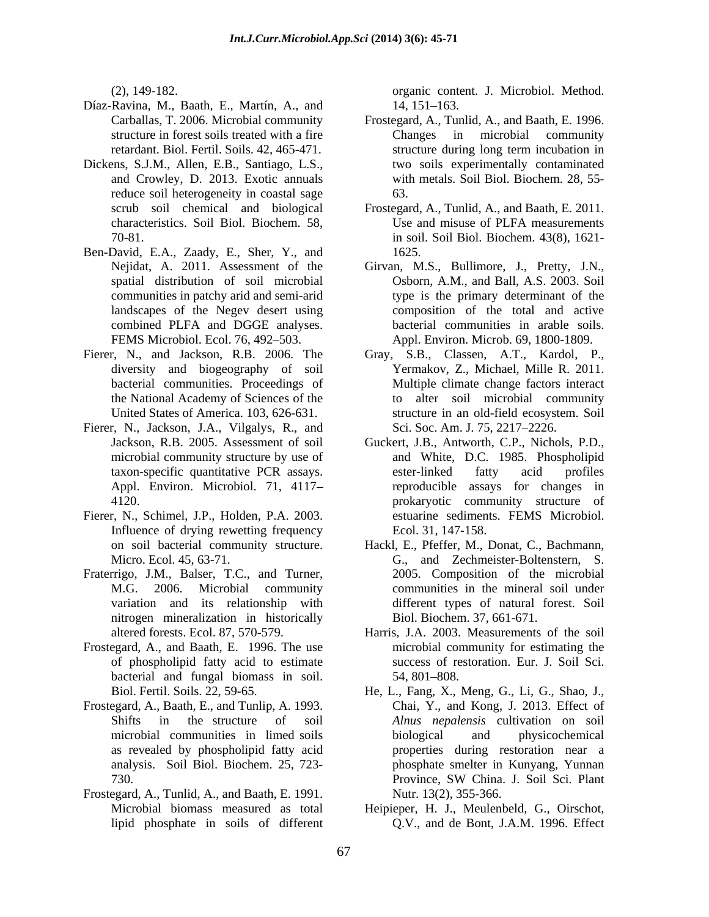- Díaz-Ravina, M., Baath, E., Martín, A., and
- Dickens, S.J.M., Allen, E.B., Santiago, L.S., reduce soil heterogeneity in coastal sage 63.
- Ben-David, E.A., Zaady, E., Sher, Y., and spatial distribution of soil microbial landscapes of the Negev desert using combined PLFA and DGGE analyses.
- bacterial communities. Proceedings of
- Fierer, N., Jackson, J.A., Vilgalys, R., and
- Fierer, N., Schimel, J.P., Holden, P.A. 2003. Influence of drying rewetting frequency
- Fraterrigo, J.M., Balser, T.C., and Turner, nitrogen mineralization in historically
- Frostegard, A., and Baath, E. 1996. The use of phospholipid fatty acid to estimate bacterial and fungal biomass in soil. 54, 801–808.
- Frostegard, A., Baath, E., and Tunlip, A. 1993.
- Frostegard, A., Tunlid, A., and Baath, E. 1991.

(2), 149-182. organic content. J. Microbiol. Method. 14, 151–163.

- Carballas, T. 2006. Microbial community Frostegard, A., Tunlid, A., and Baath, E. 1996. structure in forest soils treated with a fire Theorem Changes in microbial community retardant. Biol. Fertil. Soils. 42, 465-471. and Crowley, D. 2013. Exotic annuals with metals. Soil Biol. Biochem. 28, 55- Changes in microbial community structure during long term incubation in two soils experimentally contaminated 63.
- scrub soil chemical and biological Frostegard, A., Tunlid, A., and Baath, E. 2011. characteristics. Soil Biol. Biochem. 58, 70-81. in soil. Soil Biol. Biochem. 43(8), 1621- Use and misuse of PLFA measurements 1625.
- Nejidat, A. 2011. Assessment of the Girvan, M.S., Bullimore, J., Pretty, J.N., communities in patchy arid and semi-arid type is the primary determinant of the FEMS Microbiol. Ecol. 76, 492 503. Appl. Environ. Microb. 69, 1800-1809. Osborn, A.M., and Ball, A.S. 2003. Soil composition of the total and active bacterial communities in arable soils.
- Fierer, N., and Jackson, R.B. 2006. The Gray, S.B., Classen, A.T., Kardol, P., diversity and biogeography of soil Yermakov, Z., Michael, Mille R. 2011. the National Academy of Sciences of the to alter soil microbial community United States of America. 103, 626-631. structure in an old-field ecosystem. Soil Multiple climate change factors interact Sci. Soc. Am. J. 75, 2217-2226.
	- Jackson, R.B. 2005. Assessment of soil Guckert, J.B., Antworth, C.P., Nichols, P.D., microbial community structure by use of and White, D.C. 1985. Phospholipid taxon-specific quantitative PCR assays. Appl. Environ. Microbiol. 71, 4117– reproducible assays for changes in 4120. prokaryotic community structure of ester-linked fatty acid profiles estuarine sediments. FEMS Microbiol. Ecol. 31, 147-158.
	- on soil bacterial community structure. Hackl, E., Pfeffer, M., Donat, C., Bachmann, Micro. Ecol. 45, 63-71. G., and Zechmeister-Boltenstern, S. M.G. 2006. Microbial community communities in the mineral soil under variation and its relationship with different types of natural forest. Soil 2005. Composition of the microbial Biol. Biochem. 37, 661-671.
	- altered forests. Ecol. 87, 570-579. Harris, J.A. 2003. Measurements of the soil microbial community for estimating the success of restoration. Eur. J. Soil Sci. 54, 801–808.
	- Biol. Fertil. Soils. 22, 59-65. He, L., Fang, X., Meng, G., Li, G., Shao, J., Shifts in the structure of soil *Alnus nepalensis* cultivation on soil microbial communities in limed soils as revealed by phospholipid fatty acid properties during restoration near a analysis. Soil Biol. Biochem. 25, 723- phosphate smelter in Kunyang, Yunnan 730. Province, SW China. J. Soil Sci. Plant Chai, Y., and Kong, J. 2013. Effect of biological and physicochemical Province, SW China. J. Soil Sci. Plant Nutr. 13(2), 355-366.
	- Microbial biomass measured as total Heipieper, H. J., Meulenbeld, G., Oirschot, lipid phosphate in soils of different Q.V., and de Bont, J.A.M. 1996. Effect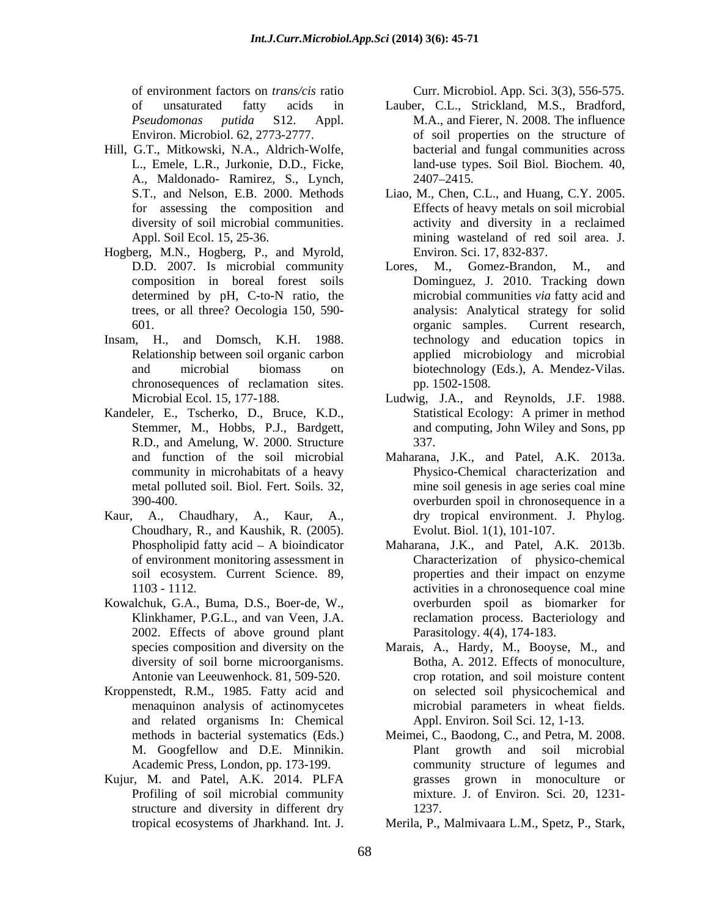- Hill, G.T., Mitkowski, N.A., Aldrich-Wolfe, A., Maldonado- Ramirez, S., Lynch, for assessing the composition and
- Hogberg, M.N., Hogberg, P., and Myrold, determined by pH, C-to-N ratio, the
- Insam, H., and Domsch, K.H. 1988. chronosequences of reclamation sites.
- Kandeler, E., Tscherko, D., Bruce, K.D., Statistical Ecology: A primer in method Stemmer, M., Hobbs, P.J., Bardgett, and computing, John Wiley and Sons, pp R.D., and Amelung, W. 2000. Structure 337.
- Kaur, A., Chaudhary, A., Kaur, A., Choudhary, R., and Kaushik, R. (2005).
- Kowalchuk, G.A., Buma, D.S., Boer-de, W., 2002. Effects of above ground plant diversity of soil borne microorganisms.
- Kroppenstedt, R.M., 1985. Fatty acid and and related organisms In: Chemical M. Googfellow and D.E. Minnikin.
- Kujur, M. and Patel, A.K. 2014. PLFA structure and diversity in different dry 1237.

of environment factors on *trans/cis* ratio

- of unsaturated fatty acids in Lauber, C.L., Strickland, M.S., Bradford, *Pseudomonas putida* S12. Appl. M.A., and Fierer, N. 2008. The influence Environ. Microbiol. 62, 2773-2777. of soil properties on the structure of L., Emele, L.R., Jurkonie, D.D., Ficke, land-use types. Soil Biol. Biochem. 40, bacterial and fungal communities across 2407 2415.
- S.T., and Nelson, E.B. 2000. Methods Liao, M., Chen, C.L., and Huang, C.Y. 2005. diversity of soil microbial communities. activity and diversity in a reclaimed Appl. Soil Ecol. 15, 25-36. mining wasteland of red soil area. J. Effects of heavy metals on soil microbial Environ. Sci. 17, 832-837.
- D.D. 2007. Is microbial community Lores, M., Gomez-Brandon, M., and composition in boreal forest soils Dominguez, J. 2010. Tracking down trees, or all three? Oecologia 150, 590- analysis: Analytical strategy for solid 601. Current research, organic samples. Current research, Relationship between soil organic carbon applied microbiology and microbial and microbial biomass on biotechnology (Eds.), A. Mendez-Vilas. content fractors of *transference* and *propice* the specific and only of the specific and *b* ( $\alpha$ ). The specific and  $\alpha$  is the specific and  $\alpha$  is the specific and  $\alpha$  is the specific and  $\alpha$  is the specific and  $\$ M., Gomez-Brandon, M., microbial communities *via* fatty acid and organic samples. Current research, technology and education topics in pp. 1502-1508.
- Microbial Ecol. 15, 177-188. Ludwig, J.A., and Reynolds, J.F. 1988. Stemmer, M., Hobbs, P.J., Bardgett, and computing, John Wiley and Sons, pp Statistical Ecology: A primer in method 337.
- and function of the soil microbial Maharana, J.K., and Patel, A.K. 2013a. community in microhabitats of a heavy Physico-Chemical characterization and metal polluted soil. Biol. Fert. Soils. 32, mine soil genesis in age series coal mine 390-400. overburden spoil in chronosequence in a dry tropical environment. J. Phylog. Evolut. Biol. 1(1), 101-107.
- Phospholipid fatty acid A bioindicator Maharana, J.K., and Patel, A.K. 2013b. of environment monitoring assessment in Characterization of physico-chemical soil ecosystem. Current Science. 89, properties and their impact on enzyme 1103 - 1112. activities in a chronosequence coal mine Klinkhamer, P.G.L., and van Veen, J.A. reclamation process. Bacteriology and overburden spoil as biomarker for Parasitology. 4(4), 174-183.
- species composition and diversity on the Marais, A., Hardy, M., Booyse, M., and Antonie van Leeuwenhock. 81, 509-520. crop rotation, and soil moisture content menaquinon analysis of actinomycetes microbial parameters in wheat fields. Botha, A. 2012. Effects of monoculture, on selected soil physicochemical and Appl. Environ. Soil Sci. 12, 1-13.
- methods in bacterial systematics (Eds.) Meimei, C., Baodong, C., and Petra, M. 2008. Academic Press, London, pp. 173-199. community structure of legumes and Profiling of soil microbial community mixture. J. of Environ. Sci. 20, 1231- Plant growth and soil microbial grasses grown in monoculture or 1237.
	- Merila, P., Malmivaara L.M., Spetz, P., Stark,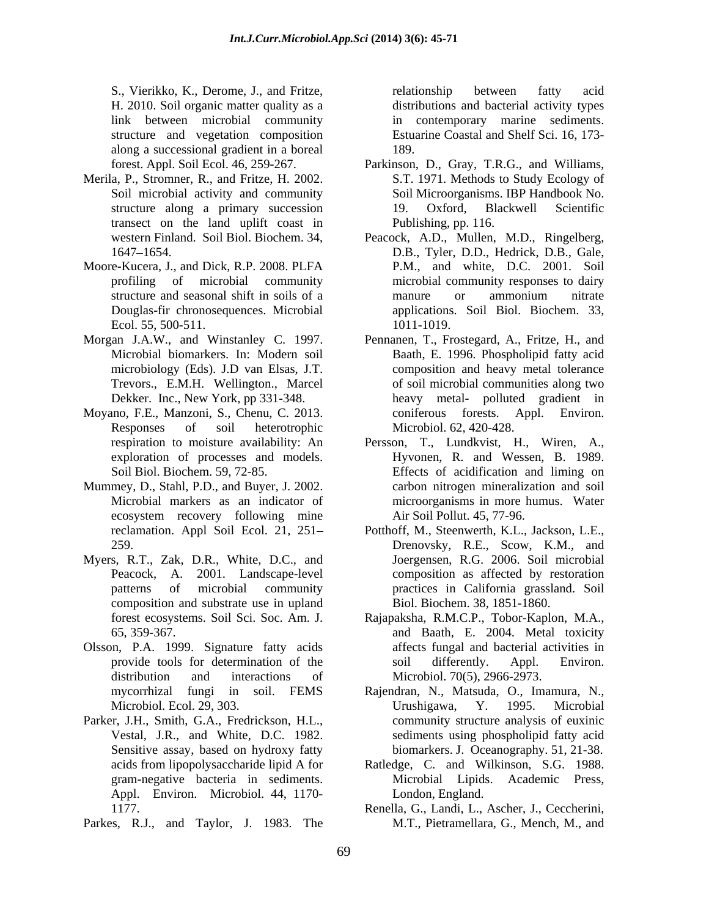H. 2010. Soil organic matter quality as a along a successional gradient in a boreal

- Merila, P., Stromner, R., and Fritze, H. 2002. transect on the land uplift coast in
- Moore-Kucera, J., and Dick, R.P. 2008. PLFA Ecol. 55, 500-511. 1011-1019.
- Trevors., E.M.H. Wellington., Marcel
- Moyano, F.E., Manzoni, S., Chenu, C. 2013.
- Mummey, D., Stahl, P.D., and Buyer, J. 2002. ecosystem recovery following mine
- Myers, R.T., Zak, D.R., White, D.C., and Peacock, A. 2001. Landscape-level composition and substrate use in upland
- Olsson, P.A. 1999. Signature fatty acids
- Parker, J.H., Smith, G.A., Fredrickson, H.L., Sensitive assay, based on hydroxy fatty Appl. Environ. Microbiol. 44, 1170-
- Parkes, R.J., and Taylor, J. 1983. The

S., Vierikko, K., Derome, J., and Fritze, link between microbial community in contemporary marine sediments. structure and vegetation composition Estuarine Coastal and Shelf Sci. 16, 173 relationship between fatty acid distributions and bacterial activity types 189.

- forest. Appl. Soil Ecol. 46, 259-267. Parkinson, D., Gray, T.R.G., and Williams, Soil microbial activity and community Soil Microorganisms. IBP Handbook No. structure along a primary succession and 19. Oxford, Blackwell Scientific S.T. 1971. Methods to Study Ecology of 19. Oxford, Blackwell Scientific Publishing, pp. 116.
- western Finland. Soil Biol. Biochem. 34, Peacock, A.D., Mullen, M.D., Ringelberg, 1647 1654. D.B., Tyler, D.D., Hedrick, D.B., Gale, profiling of microbial community microbial community responses to dairy structure and seasonal shift in soils of a manure or ammonium nitrate Douglas-fir chronosequences. Microbial applications. Soil Biol. Biochem. 33, P.M., and white, D.C. 2001. Soil manure or ammonium nitrate 1011-1019.
- Morgan J.A.W., and Winstanley C. 1997. Pennanen, T., Frostegard, A., Fritze, H., and Microbial biomarkers. In: Modern soil Baath, E. 1996. Phospholipid fatty acid microbiology (Eds). J.D van Elsas, J.T. composition and heavy metal tolerance Dekker. Inc., New York, pp 331-348. heavy metal- polluted gradient in Responses of soil heterotrophic Microbiol. 62, 420-428. of soil microbial communities along two coniferous forests. Appl. Environ. Microbiol. 62, 420-428.
	- respiration to moisture availability: An Persson, T., Lundkvist, H., Wiren, A., exploration of processes and models. Hyvonen, R. and Wessen, B. 1989. Soil Biol. Biochem. 59, 72-85. Effects of acidification and liming on Microbial markers as an indicator of microorganisms in more humus. Water carbon nitrogen mineralization and soil Air Soil Pollut. 45, 77-96.
	- reclamation. Appl Soil Ecol. 21, 251 Potthoff, M., Steenwerth, K.L., Jackson, L.E., 259. Drenovsky, R.E., Scow, K.M., and patterns of microbial community practices in California grassland. Soil Joergensen, R.G. 2006. Soil microbial composition as affected by restoration Biol. Biochem. 38, 1851-1860.
	- forest ecosystems.Soil Sci. Soc. Am. J. Rajapaksha, R.M.C.P., Tobor-Kaplon, M.A., 65, 359-367. and Baath, E. 2004. Metal toxicity provide tools for determination of the soil differently. Appl. Environ. distribution and interactions of Microbiol. 70(5), 2966-2973. affects fungal and bacterial activities in soil differently. Appl. Environ.
	- mycorrhizal fungi in soil. FEMS Rajendran, N., Matsuda, O., Imamura, N., Microbiol. Ecol. 29, 303. The Urushigawa, Y. 1995. Microbial Vestal, J.R., and White, D.C. 1982. sediments using phospholipid fatty acid Urushigawa, Y. 1995. Microbial community structure analysis of euxinic biomarkers. J. Oceanography. 51, 21-38.
	- acids from lipopolysaccharide lipid A for Ratledge, C. and Wilkinson, S.G. 1988. gram-negative bacteria in sediments. Microbial Lipids. Academic Press, London, England.
	- 1177. Renella, G., Landi, L., Ascher, J., Ceccherini, M.T., Pietramellara, G., Mench, M., and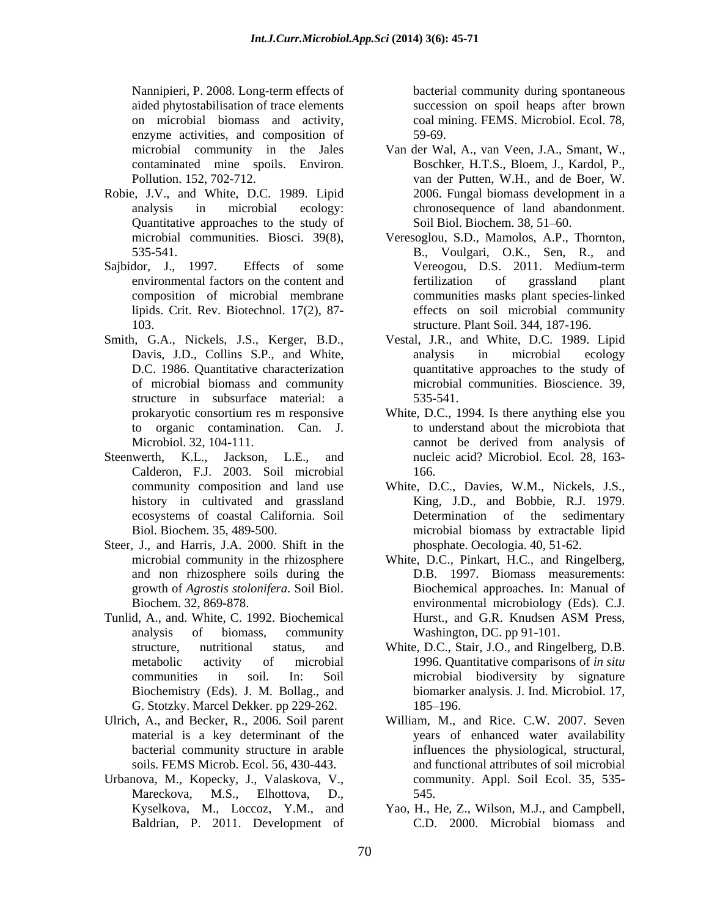aided phytostabilisation of trace elements succession on spoil heaps after brown on microbial biomass and activity, coal mining. FEMS. Microbiol. Ecol. 78, enzyme activities, and composition of 59-69.

- Robie, J.V., and White, D.C. 1989. Lipid Quantitative approaches to the study of
- 
- Smith, G.A., Nickels, J.S., Kerger, B.D., structure in subsurface material: a 535-541.
- Steenwerth, K.L., Jackson, L.E., and nucleic acid? Microbiol. Ecol. 28, 163- Calderon, F.J. 2003. Soil microbial history in cultivated and grassland
- Steer, J., and Harris, J.A. 2000. Shift in the and non rhizosphere soils during the
- Tunlid, A., and. White, C. 1992. Biochemical Hurst., and G.R. Knudsen ASM Press, G. Stotzky. Marcel Dekker. pp 229-262.
- material is a key determinant of the
- Urbanova, M., Kopecky, J., Valaskova, V., Mareckova, M.S., Elhottova, D., 545. Baldrian, P. 2011. Development of

Nannipieri, P. 2008. Long-term effects of bacterial community during spontaneous 59-69.

- microbial community in the Jales Van der Wal, A., van Veen, J.A., Smant, W., contaminated mine spoils. Environ. Boschker, H.T.S., Bloem, J., Kardol, P., Pollution. 152, 702-712. van der Putten, W.H., and de Boer, W. analysis in microbial ecology: chronosequence of land abandonment. 2006. Fungal biomass development in a Soil Biol. Biochem. 38, 51-60.
- microbial communities. Biosci. 39(8), Veresoglou, S.D., Mamolos, A.P., Thornton, 535-541. B., Voulgari, O.K., Sen, R., and Sajbidor, J., 1997. Effects of some Vereogou, D.S. 2011. Medium-term environmental factors on the content and **the environmental factors** on the content and **the environmental** factors on the content and composition of microbial membrane communities masks plant species-linked lipids. Crit. Rev. Biotechnol. 17(2), 87- effects on soil microbial community 103. structure. Plant Soil. 344, 187-196. fertilization of grassland plant
	- Davis, J.D., Collins S.P., and White, analysis in microbial ecology D.C. 1986. Quantitative characterization quantitative approaches to the study of of microbial biomass and community microbial communities. Bioscience. 39, Vestal, J.R., and White, D.C. 1989. Lipid analysis in microbial ecology 535-541.
	- prokaryotic consortium res m responsive White, D.C., 1994. Is there anything else you to organic contamination. Can. J. to understand about the microbiota that Microbiol. 32, 104-111. The cannot be derived from analysis of cannot be derived from analysis of 166.
	- community composition and land use White, D.C., Davies, W.M., Nickels, J.S., ecosystems of coastal California. Soil Determination of the sedimentary Biol. Biochem. 35, 489-500. microbial biomass by extractable lipid King, J.D., and Bobbie, R.J. 1979. phosphate. Oecologia. 40, 51-62.
	- microbial community in the rhizosphere White, D.C., Pinkart, H.C., and Ringelberg, growth of *Agrostis stolonifera*. Soil Biol. Biochemical approaches.In: Manual of Biochem. 32, 869-878. environmental microbiology (Eds). C.J. analysis of biomass, community Washington, DC. pp 91-101. D.B. 1997. Biomass measurements: Hurst., and G.R. Knudsen ASM Press, Washington, DC. pp 91-101.
	- structure, nutritional status, and White, D.C., Stair, J.O., and Ringelberg, D.B. metabolic activity of microbial 1996. Quantitative comparisons of *in situ* communities in soil. In: Soil microbial biodiversity by signature Biochemistry (Eds). J. M. Bollag., and biomarker analysis. J. Ind. Microbiol. 17, 185–196.
- Ulrich, A., and Becker, R., 2006. Soil parent William, M., and Rice. C.W. 2007. Seven bacterial community structure in arable influences the physiological, structural, soils. FEMS Microb. Ecol. 56, 430-443. and functional attributes of soil microbial years of enhanced water availability community. Appl. Soil Ecol. 35, 535- 545.
	- Kyselkova, M., Loccoz, Y.M., and Yao, H., He, Z., Wilson, M.J., and Campbell, C.D. 2000. Microbial biomass and